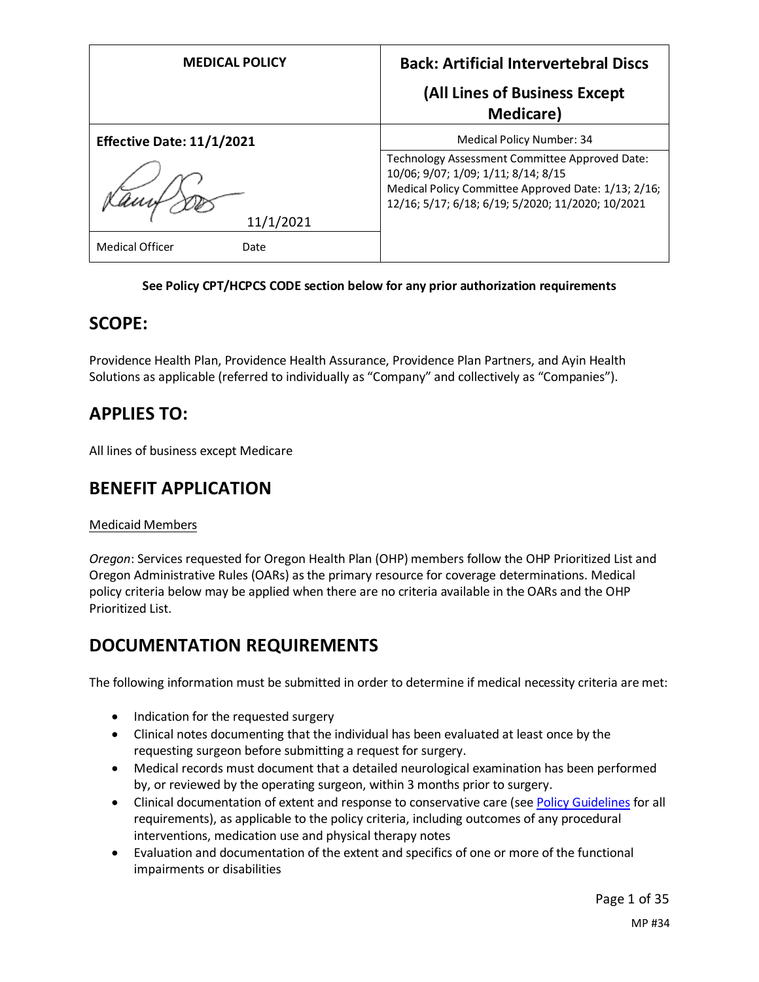| <b>MEDICAL POLICY</b>            | <b>Back: Artificial Intervertebral Discs</b><br>(All Lines of Business Except                                                                                                                     |
|----------------------------------|---------------------------------------------------------------------------------------------------------------------------------------------------------------------------------------------------|
|                                  | <b>Medicare</b> )                                                                                                                                                                                 |
| <b>Effective Date: 11/1/2021</b> | Medical Policy Number: 34                                                                                                                                                                         |
|                                  | Technology Assessment Committee Approved Date:<br>10/06; 9/07; 1/09; 1/11; 8/14; 8/15<br>Medical Policy Committee Approved Date: 1/13; 2/16;<br>12/16; 5/17; 6/18; 6/19; 5/2020; 11/2020; 10/2021 |
| 11/1/2021                        |                                                                                                                                                                                                   |
| <b>Medical Officer</b><br>Date   |                                                                                                                                                                                                   |

### **See Policy CPT/HCPCS CODE section below for any prior authorization requirements**

## **SCOPE:**

Providence Health Plan, Providence Health Assurance, Providence Plan Partners, and Ayin Health Solutions as applicable (referred to individually as "Company" and collectively as "Companies").

# **APPLIES TO:**

All lines of business except Medicare

# **BENEFIT APPLICATION**

### Medicaid Members

*Oregon*: Services requested for Oregon Health Plan (OHP) members follow the OHP Prioritized List and Oregon Administrative Rules (OARs) as the primary resource for coverage determinations. Medical policy criteria below may be applied when there are no criteria available in the OARs and the OHP Prioritized List.

# **DOCUMENTATION REQUIREMENTS**

The following information must be submitted in order to determine if medical necessity criteria are met:

- Indication for the requested surgery
- Clinical notes documenting that the individual has been evaluated at least once by the requesting surgeon before submitting a request for surgery.
- Medical records must document that a detailed neurological examination has been performed by, or reviewed by the operating surgeon, within 3 months prior to surgery.
- Clinical documentation of extent and response to conservative care (see [Policy Guidelines](#page-4-0) for all requirements), as applicable to the policy criteria, including outcomes of any procedural interventions, medication use and physical therapy notes
- Evaluation and documentation of the extent and specifics of one or more of the functional impairments or disabilities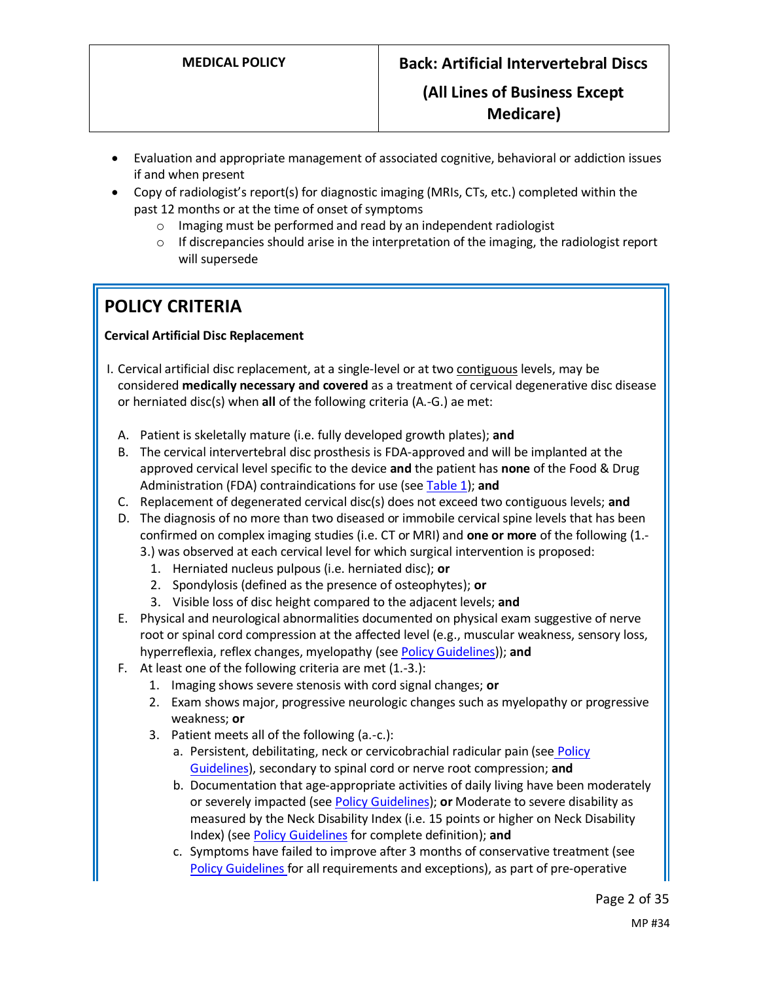- Evaluation and appropriate management of associated cognitive, behavioral or addiction issues if and when present
- Copy of radiologist's report(s) for diagnostic imaging (MRIs, CTs, etc.) completed within the past 12 months or at the time of onset of symptoms
	- o Imaging must be performed and read by an independent radiologist
	- $\circ$  If discrepancies should arise in the interpretation of the imaging, the radiologist report will supersede

# **POLICY CRITERIA**

### **Cervical Artificial Disc Replacement**

- I. Cervical artificial disc replacement, at a single-level or at two contiguous levels, may be considered **medically necessary and covered** as a treatment of cervical degenerative disc disease or herniated disc(s) when **all** of the following criteria (A.-G.) ae met:
	- A. Patient is skeletally mature (i.e. fully developed growth plates); **and**
	- B. The cervical intervertebral disc prosthesis is FDA-approved and will be implanted at the approved cervical level specific to the device **and** the patient has **none** of the Food & Drug Administration (FDA) contraindications for use (see [Table 1\)](#page-6-0); **and**
	- C. Replacement of degenerated cervical disc(s) does not exceed two contiguous levels; **and**
	- D. The diagnosis of no more than two diseased or immobile cervical spine levels that has been confirmed on complex imaging studies (i.e. CT or MRI) and **one or more** of the following (1.-
		- 3.) was observed at each cervical level for which surgical intervention is proposed:
			- 1. Herniated nucleus pulpous (i.e. herniated disc); **or**
			- 2. Spondylosis (defined as the presence of osteophytes); **or**
			- 3. Visible loss of disc height compared to the adjacent levels; **and**
	- E. Physical and neurological abnormalities documented on physical exam suggestive of nerve root or spinal cord compression at the affected level (e.g., muscular weakness, sensory loss, hyperreflexia, reflex changes, myelopathy (se[e Policy Guidelines\)](#page-5-0)); **and**
	- F. At least one of the following criteria are met (1.-3.):
		- 1. Imaging shows severe stenosis with cord signal changes; **or**
		- 2. Exam shows major, progressive neurologic changes such as myelopathy or progressive weakness; **or**
		- 3. Patient meets all of the following (a.-c.):
			- a. Persistent, debilitating, neck or cervicobrachial radicular pain (see Policy [Guidelines\)](#page-5-1), secondary to spinal cord or nerve root compression; **and**
			- b. Documentation that age-appropriate activities of daily living have been moderately or severely impacted (se[e Policy Guidelines\)](#page-5-1); **or** Moderate to severe disability as measured by the Neck Disability Index (i.e. 15 points or higher on Neck Disability Index) (se[e Policy Guidelines](#page-5-0) for complete definition); **and**
			- c. Symptoms have failed to improve after 3 months of conservative treatment (see [Policy Guidelines](#page-4-0) for all requirements and exceptions), as part of pre-operative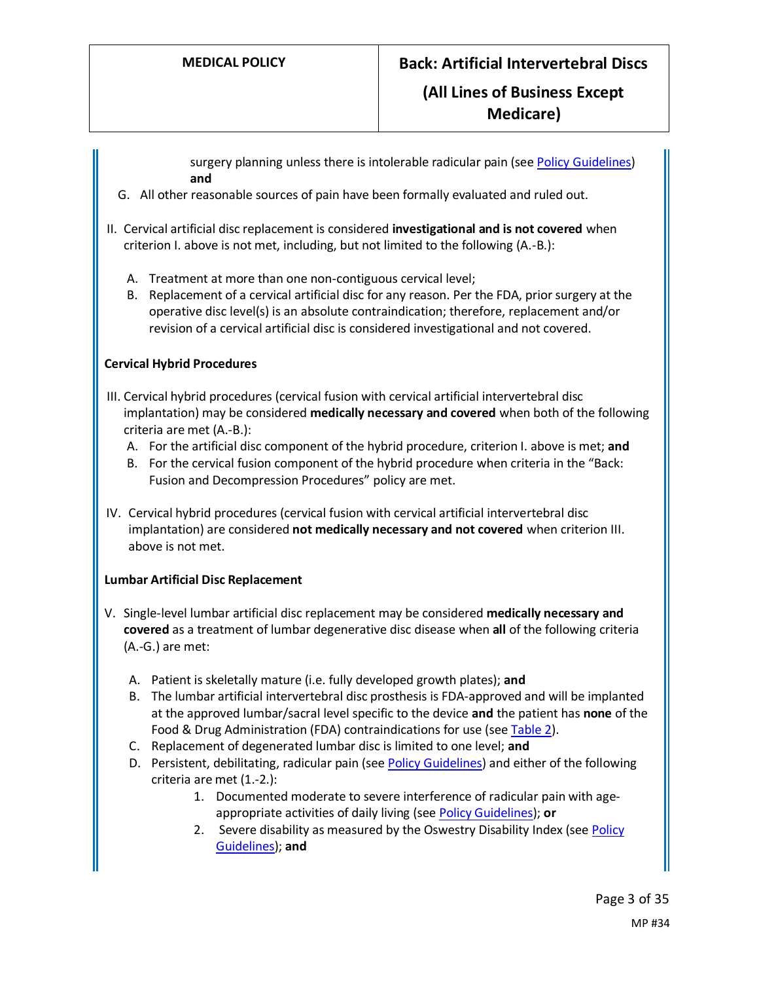surgery planning unless there is intolerable radicular pain (see [Policy Guidelines\)](#page-5-2) **and**

- G. All other reasonable sources of pain have been formally evaluated and ruled out.
- II. Cervical artificial disc replacement is considered **investigational and is not covered** when criterion I. above is not met, including, but not limited to the following (A.-B.):
	- A. Treatment at more than one non-contiguous cervical level;
	- B. Replacement of a cervical artificial disc for any reason. Per the FDA, prior surgery at the operative disc level(s) is an absolute contraindication; therefore, replacement and/or revision of a cervical artificial disc is considered investigational and not covered.

### **Cervical Hybrid Procedures**

- III. Cervical hybrid procedures (cervical fusion with cervical artificial intervertebral disc implantation) may be considered **medically necessary and covered** when both of the following criteria are met (A.-B.):
	- A. For the artificial disc component of the hybrid procedure, criterion I. above is met; **and**
	- B. For the cervical fusion component of the hybrid procedure when criteria in the "Back: Fusion and Decompression Procedures" policy are met.
- IV. Cervical hybrid procedures (cervical fusion with cervical artificial intervertebral disc implantation) are considered **not medically necessary and not covered** when criterion III. above is not met.

### **Lumbar Artificial Disc Replacement**

- V. Single-level lumbar artificial disc replacement may be considered **medically necessary and covered** as a treatment of lumbar degenerative disc disease when **all** of the following criteria (A.-G.) are met:
	- A. Patient is skeletally mature (i.e. fully developed growth plates); **and**
	- B. The lumbar artificial intervertebral disc prosthesis is FDA-approved and will be implanted at the approved lumbar/sacral level specific to the device **and** the patient has **none** of the Food & Drug Administration (FDA) contraindications for use (se[e Table 2\)](#page-9-0).
	- C. Replacement of degenerated lumbar disc is limited to one level; **and**
	- D. Persistent, debilitating, radicular pain (se[e Policy Guidelines\)](#page-5-1) and either of the following criteria are met (1.-2.):
		- 1. Documented moderate to severe interference of radicular pain with ageappropriate activities of daily living (see [Policy Guidelines\)](#page-3-0); **or**
		- 2. Severe disability as measured by the Oswestry Disability Index (see Policy [Guidelines\)](#page-6-1); **and**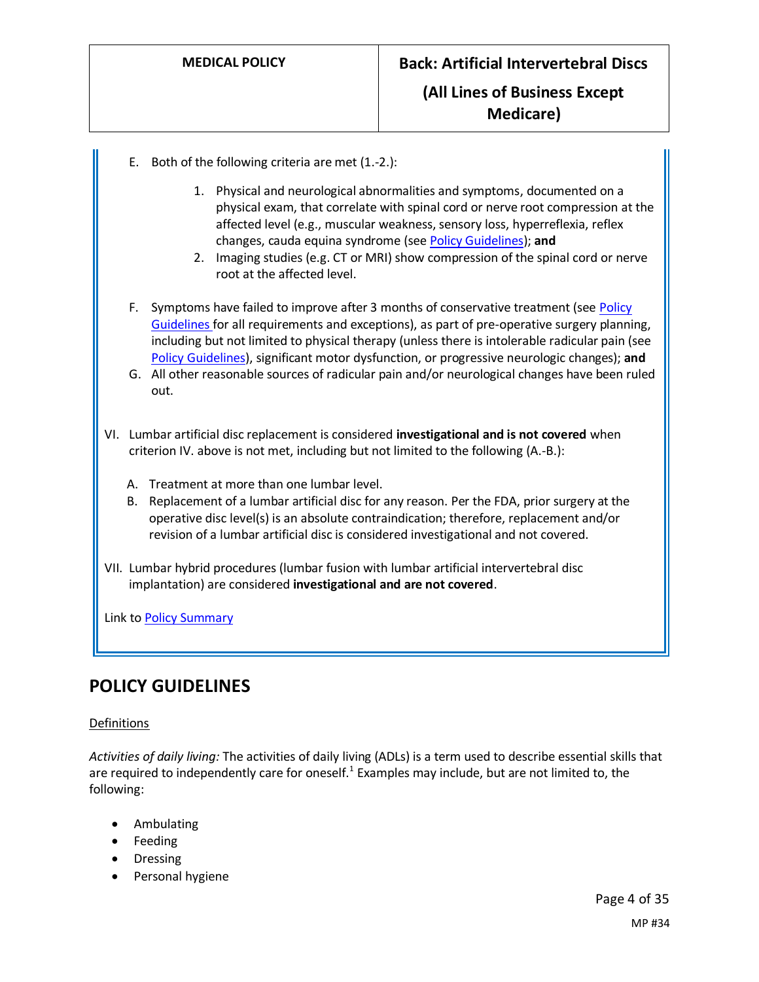- E. Both of the following criteria are met (1.-2.):
	- 1. Physical and neurological abnormalities and symptoms, documented on a physical exam, that correlate with spinal cord or nerve root compression at the affected level (e.g., muscular weakness, sensory loss, hyperreflexia, reflex changes, cauda equina syndrome (se[e Policy Guidelines\)](#page-5-0); **and**
	- 2. Imaging studies (e.g. CT or MRI) show compression of the spinal cord or nerve root at the affected level.
- F. Symptoms have failed to improve after 3 months of conservative treatment (se[e Policy](#page-4-0)  [Guidelines](#page-4-0) for all requirements and exceptions), as part of pre-operative surgery planning, including but not limited to physical therapy (unless there is intolerable radicular pain (see [Policy Guidelines\)](#page-5-2), significant motor dysfunction, or progressive neurologic changes); **and**
- G. All other reasonable sources of radicular pain and/or neurological changes have been ruled out.
- VI. Lumbar artificial disc replacement is considered **investigational and is not covered** when criterion IV. above is not met, including but not limited to the following (A.-B.):
	- A. Treatment at more than one lumbar level.
	- B. Replacement of a lumbar artificial disc for any reason. Per the FDA, prior surgery at the operative disc level(s) is an absolute contraindication; therefore, replacement and/or revision of a lumbar artificial disc is considered investigational and not covered.
- VII. Lumbar hybrid procedures (lumbar fusion with lumbar artificial intervertebral disc implantation) are considered **investigational and are not covered**.

Link t[o Policy Summary](#page-29-0)

## **POLICY GUIDELINES**

#### Definitions

<span id="page-3-0"></span>*Activities of daily living:* The activities of daily living (ADLs) is a term used to describe essential skills that are required to independently care for oneself.<sup>1</sup> Examples may include, but are not limited to, the following:

- Ambulating
- Feeding
- Dressing
- Personal hygiene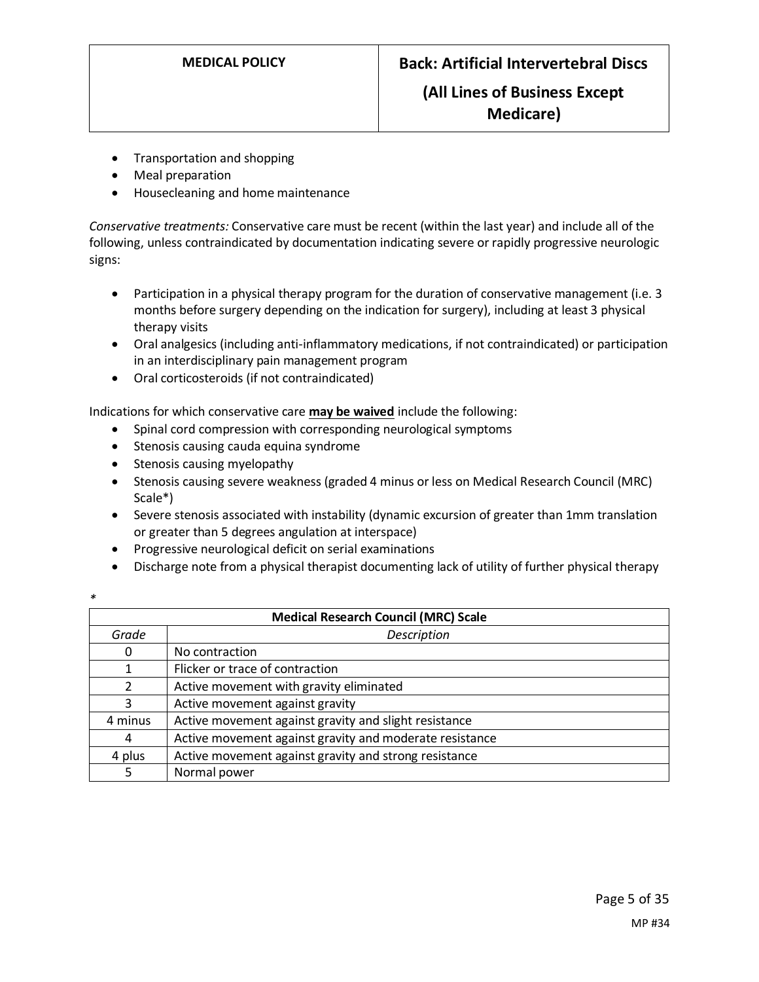- Transportation and shopping
- Meal preparation
- Housecleaning and home maintenance

<span id="page-4-0"></span>*Conservative treatments:* Conservative care must be recent (within the last year) and include all of the following, unless contraindicated by documentation indicating severe or rapidly progressive neurologic signs:

- Participation in a physical therapy program for the duration of conservative management (i.e. 3 months before surgery depending on the indication for surgery), including at least 3 physical therapy visits
- Oral analgesics (including anti-inflammatory medications, if not contraindicated) or participation in an interdisciplinary pain management program
- Oral corticosteroids (if not contraindicated)

Indications for which conservative care **may be waived** include the following:

- Spinal cord compression with corresponding neurological symptoms
- Stenosis causing cauda equina syndrome
- Stenosis causing myelopathy
- Stenosis causing severe weakness (graded 4 minus or less on Medical Research Council (MRC) Scale\*)
- Severe stenosis associated with instability (dynamic excursion of greater than 1mm translation or greater than 5 degrees angulation at interspace)
- Progressive neurological deficit on serial examinations
- Discharge note from a physical therapist documenting lack of utility of further physical therapy

| I<br>۰. |  |
|---------|--|
|         |  |

| <b>Medical Research Council (MRC) Scale</b> |                                                         |  |
|---------------------------------------------|---------------------------------------------------------|--|
| Grade                                       | Description                                             |  |
| 0                                           | No contraction                                          |  |
| 1                                           | Flicker or trace of contraction                         |  |
| $\mathcal{L}$                               | Active movement with gravity eliminated                 |  |
| 3                                           | Active movement against gravity                         |  |
| 4 minus                                     | Active movement against gravity and slight resistance   |  |
| 4                                           | Active movement against gravity and moderate resistance |  |
| 4 plus                                      | Active movement against gravity and strong resistance   |  |
| 5                                           | Normal power                                            |  |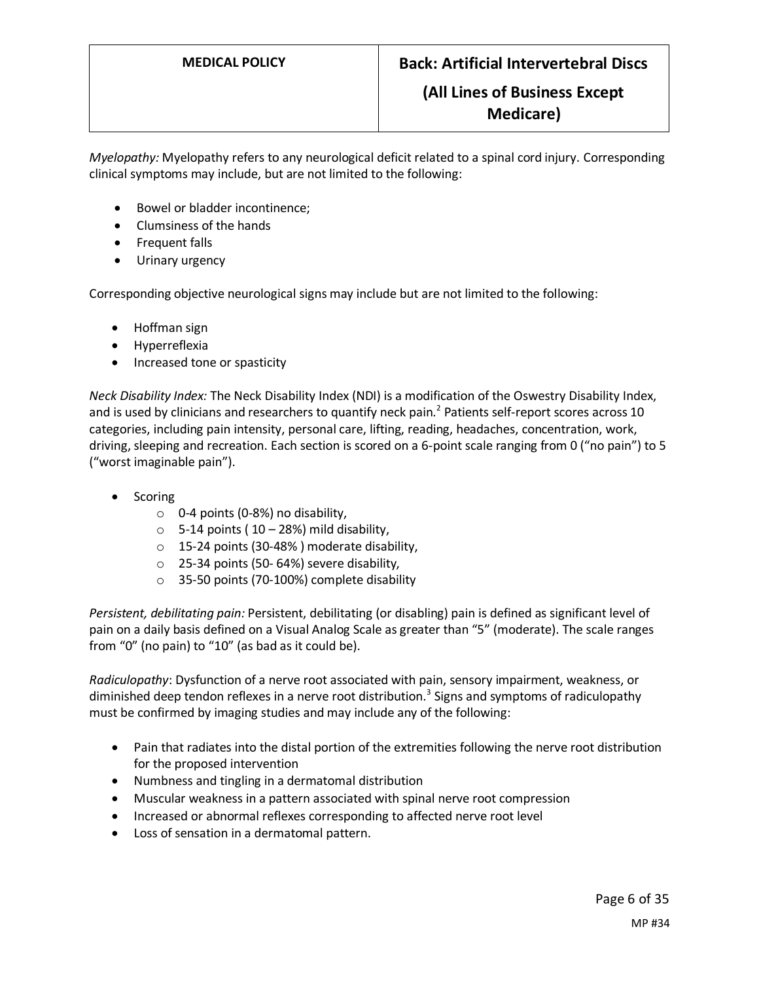<span id="page-5-0"></span>*Myelopathy:* Myelopathy refers to any neurological deficit related to a spinal cord injury. Corresponding clinical symptoms may include, but are not limited to the following:

- Bowel or bladder incontinence;
- Clumsiness of the hands
- Frequent falls
- Urinary urgency

Corresponding objective neurological signs may include but are not limited to the following:

- Hoffman sign
- Hyperreflexia
- Increased tone or spasticity

*Neck Disability Index:* The Neck Disability Index (NDI) is a modification of the Oswestry Disability Index, and is used by clinicians and researchers to quantify neck pain.<sup>2</sup> Patients self-report scores across 10 categories, including pain intensity, personal care, lifting, reading, headaches, concentration, work, driving, sleeping and recreation. Each section is scored on a 6-point scale ranging from 0 ("no pain") to 5 ("worst imaginable pain").

- Scoring
	- $\circ$  0-4 points (0-8%) no disability,
	- $\circ$  5-14 points (10 28%) mild disability,
	- o 15-24 points (30-48% ) moderate disability,
	- o 25-34 points (50- 64%) severe disability,
	- o 35-50 points (70-100%) complete disability

<span id="page-5-1"></span>*Persistent, debilitating pain:* Persistent, debilitating (or disabling) pain is defined as significant level of pain on a daily basis defined on a Visual Analog Scale as greater than "5" (moderate). The scale ranges from "0" (no pain) to "10" (as bad as it could be).

<span id="page-5-2"></span>*Radiculopathy*: Dysfunction of a nerve root associated with pain, sensory impairment, weakness, or diminished deep tendon reflexes in a nerve root distribution.<sup>3</sup> Signs and symptoms of radiculopathy must be confirmed by imaging studies and may include any of the following:

- Pain that radiates into the distal portion of the extremities following the nerve root distribution for the proposed intervention
- Numbness and tingling in a dermatomal distribution
- Muscular weakness in a pattern associated with spinal nerve root compression
- Increased or abnormal reflexes corresponding to affected nerve root level
- Loss of sensation in a dermatomal pattern.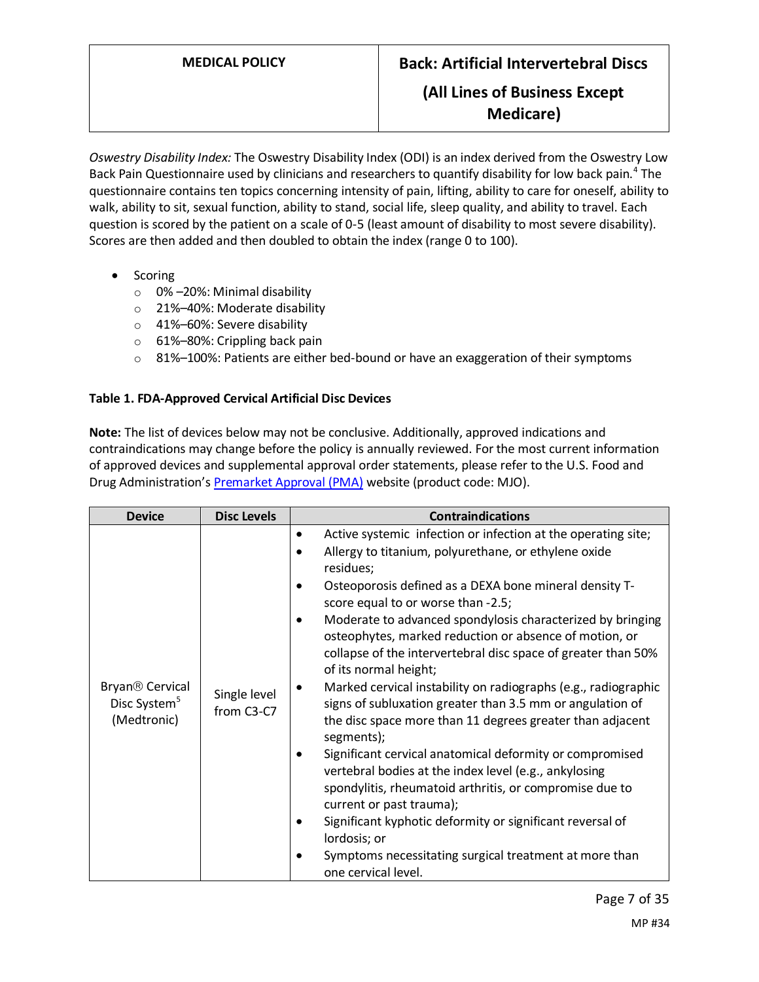<span id="page-6-1"></span>*Oswestry Disability Index:* The Oswestry Disability Index (ODI) is an index derived from the Oswestry Low Back Pain Questionnaire used by clinicians and researchers to quantify disability for low back pain.<sup>4</sup> The questionnaire contains ten topics concerning intensity of pain, lifting, ability to care for oneself, ability to walk, ability to sit, sexual function, ability to stand, social life, sleep quality, and ability to travel. Each question is scored by the patient on a scale of 0-5 (least amount of disability to most severe disability). Scores are then added and then doubled to obtain the index (range 0 to 100).

- Scoring
	- o 0% –20%: Minimal disability
	- o 21%–40%: Moderate disability
	- o 41%–60%: Severe disability
	- o 61%–80%: Crippling back pain
	- $\circ$  81%–100%: Patients are either bed-bound or have an exaggeration of their symptoms

### <span id="page-6-0"></span>**Table 1. FDA-Approved Cervical Artificial Disc Devices**

**Note:** The list of devices below may not be conclusive. Additionally, approved indications and contraindications may change before the policy is annually reviewed. For the most current information of approved devices and supplemental approval order statements, please refer to the U.S. Food and Drug Administration'[s Premarket Approval \(PMA\)](https://www.accessdata.fda.gov/scripts/cdrh/cfdocs/cfPMA/pma.cfm) website (product code: MJO).

| <b>Device</b>                                                          | <b>Disc Levels</b>         | <b>Contraindications</b>                                                                                                                                                                                                                                                                                                                                                                                                                                                                                                                                                                                                                                                                                                                                                                                                                                                                                                                                                                                                                      |
|------------------------------------------------------------------------|----------------------------|-----------------------------------------------------------------------------------------------------------------------------------------------------------------------------------------------------------------------------------------------------------------------------------------------------------------------------------------------------------------------------------------------------------------------------------------------------------------------------------------------------------------------------------------------------------------------------------------------------------------------------------------------------------------------------------------------------------------------------------------------------------------------------------------------------------------------------------------------------------------------------------------------------------------------------------------------------------------------------------------------------------------------------------------------|
| Bryan <sup>®</sup> Cervical<br>Disc System <sup>5</sup><br>(Medtronic) | Single level<br>from C3-C7 | Active systemic infection or infection at the operating site;<br>٠<br>Allergy to titanium, polyurethane, or ethylene oxide<br>residues;<br>Osteoporosis defined as a DEXA bone mineral density T-<br>score equal to or worse than -2.5;<br>Moderate to advanced spondylosis characterized by bringing<br>osteophytes, marked reduction or absence of motion, or<br>collapse of the intervertebral disc space of greater than 50%<br>of its normal height;<br>Marked cervical instability on radiographs (e.g., radiographic<br>signs of subluxation greater than 3.5 mm or angulation of<br>the disc space more than 11 degrees greater than adjacent<br>segments);<br>Significant cervical anatomical deformity or compromised<br>vertebral bodies at the index level (e.g., ankylosing<br>spondylitis, rheumatoid arthritis, or compromise due to<br>current or past trauma);<br>Significant kyphotic deformity or significant reversal of<br>lordosis; or<br>Symptoms necessitating surgical treatment at more than<br>one cervical level. |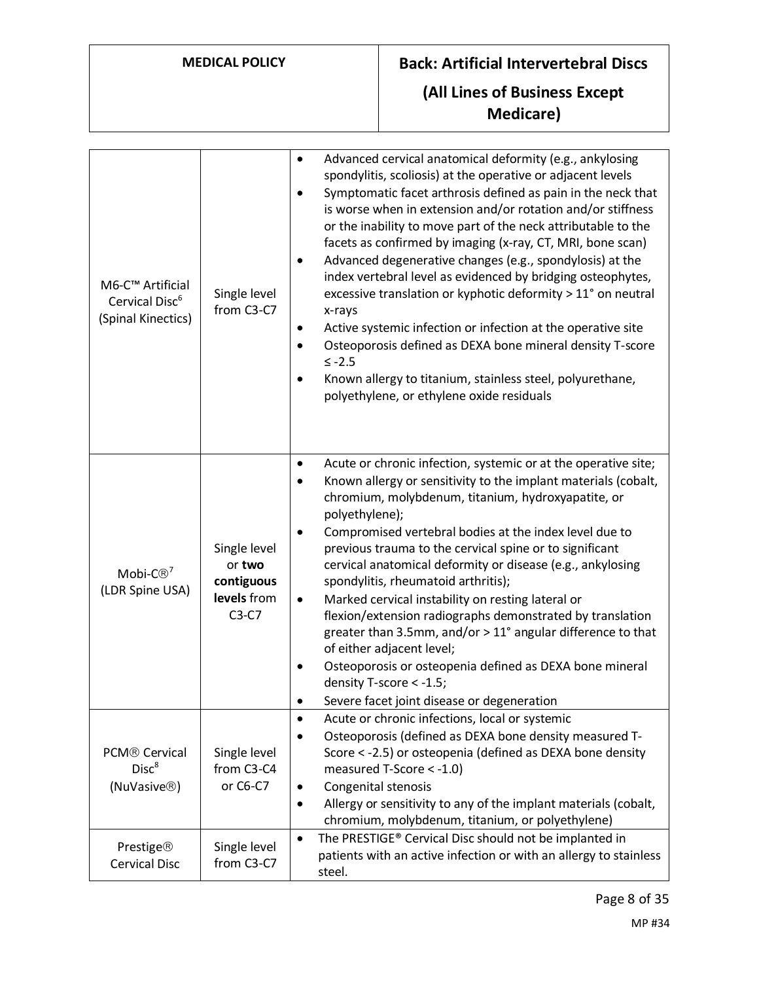# **MEDICAL POLICY Back: Artificial Intervertebral Discs (All Lines of Business Except Medicare)**

| M6-C™ Artificial<br>Cervical Disc <sup>6</sup><br>(Spinal Kinectics)       | Single level<br>from C3-C7                                     | Advanced cervical anatomical deformity (e.g., ankylosing<br>spondylitis, scoliosis) at the operative or adjacent levels<br>Symptomatic facet arthrosis defined as pain in the neck that<br>is worse when in extension and/or rotation and/or stiffness<br>or the inability to move part of the neck attributable to the<br>facets as confirmed by imaging (x-ray, CT, MRI, bone scan)<br>Advanced degenerative changes (e.g., spondylosis) at the<br>index vertebral level as evidenced by bridging osteophytes,<br>excessive translation or kyphotic deformity > 11° on neutral<br>x-rays<br>Active systemic infection or infection at the operative site<br>Osteoporosis defined as DEXA bone mineral density T-score<br>$≤ -2.5$<br>Known allergy to titanium, stainless steel, polyurethane,<br>polyethylene, or ethylene oxide residuals |
|----------------------------------------------------------------------------|----------------------------------------------------------------|-----------------------------------------------------------------------------------------------------------------------------------------------------------------------------------------------------------------------------------------------------------------------------------------------------------------------------------------------------------------------------------------------------------------------------------------------------------------------------------------------------------------------------------------------------------------------------------------------------------------------------------------------------------------------------------------------------------------------------------------------------------------------------------------------------------------------------------------------|
| Mobi- $C\mathbb{B}^7$<br>(LDR Spine USA)                                   | Single level<br>or two<br>contiguous<br>levels from<br>$C3-C7$ | Acute or chronic infection, systemic or at the operative site;<br>٠<br>Known allergy or sensitivity to the implant materials (cobalt,<br>chromium, molybdenum, titanium, hydroxyapatite, or<br>polyethylene);<br>Compromised vertebral bodies at the index level due to<br>previous trauma to the cervical spine or to significant<br>cervical anatomical deformity or disease (e.g., ankylosing<br>spondylitis, rheumatoid arthritis);<br>Marked cervical instability on resting lateral or<br>٠<br>flexion/extension radiographs demonstrated by translation<br>greater than 3.5mm, and/or > 11° angular difference to that<br>of either adjacent level;<br>Osteoporosis or osteopenia defined as DEXA bone mineral<br>density T-score < -1.5;<br>Severe facet joint disease or degeneration                                                |
| PCM <sup>®</sup> Cervical<br>Disc <sup>8</sup><br>(NuVasive <sup>®</sup> ) | Single level<br>from C3-C4<br>or C6-C7                         | Acute or chronic infections, local or systemic<br>$\bullet$<br>Osteoporosis (defined as DEXA bone density measured T-<br>Score < -2.5) or osteopenia (defined as DEXA bone density<br>measured T-Score < -1.0)<br>Congenital stenosis<br>Allergy or sensitivity to any of the implant materials (cobalt,<br>chromium, molybdenum, titanium, or polyethylene)                                                                                                                                                                                                                                                                                                                                                                                                                                                                                  |
| <b>Prestige®</b><br><b>Cervical Disc</b>                                   | Single level<br>from C3-C7                                     | The PRESTIGE® Cervical Disc should not be implanted in<br>$\bullet$<br>patients with an active infection or with an allergy to stainless<br>steel.                                                                                                                                                                                                                                                                                                                                                                                                                                                                                                                                                                                                                                                                                            |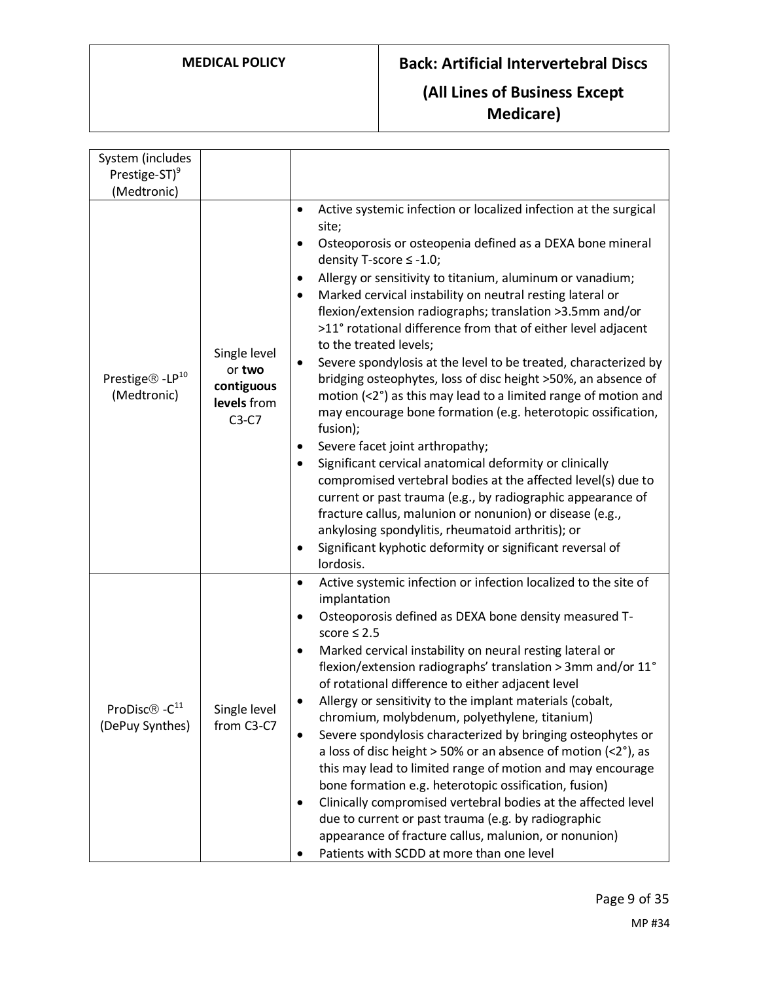| System (includes                            |                                                                |                                                                                                                                                                                                                                                                                                                                                                                                                                                                                                                                                                                                                                                                                                                                                                                                                                                                                                                                                                                                                                                                                                                                                                                                                      |
|---------------------------------------------|----------------------------------------------------------------|----------------------------------------------------------------------------------------------------------------------------------------------------------------------------------------------------------------------------------------------------------------------------------------------------------------------------------------------------------------------------------------------------------------------------------------------------------------------------------------------------------------------------------------------------------------------------------------------------------------------------------------------------------------------------------------------------------------------------------------------------------------------------------------------------------------------------------------------------------------------------------------------------------------------------------------------------------------------------------------------------------------------------------------------------------------------------------------------------------------------------------------------------------------------------------------------------------------------|
| Prestige-ST) <sup>9</sup>                   |                                                                |                                                                                                                                                                                                                                                                                                                                                                                                                                                                                                                                                                                                                                                                                                                                                                                                                                                                                                                                                                                                                                                                                                                                                                                                                      |
| (Medtronic)                                 |                                                                |                                                                                                                                                                                                                                                                                                                                                                                                                                                                                                                                                                                                                                                                                                                                                                                                                                                                                                                                                                                                                                                                                                                                                                                                                      |
| Prestige® - LP <sup>10</sup><br>(Medtronic) | Single level<br>or two<br>contiguous<br>levels from<br>$C3-C7$ | Active systemic infection or localized infection at the surgical<br>$\bullet$<br>site;<br>Osteoporosis or osteopenia defined as a DEXA bone mineral<br>٠<br>density T-score ≤ -1.0;<br>Allergy or sensitivity to titanium, aluminum or vanadium;<br>٠<br>Marked cervical instability on neutral resting lateral or<br>$\bullet$<br>flexion/extension radiographs; translation >3.5mm and/or<br>>11° rotational difference from that of either level adjacent<br>to the treated levels;<br>Severe spondylosis at the level to be treated, characterized by<br>٠<br>bridging osteophytes, loss of disc height >50%, an absence of<br>motion (<2°) as this may lead to a limited range of motion and<br>may encourage bone formation (e.g. heterotopic ossification,<br>fusion);<br>Severe facet joint arthropathy;<br>٠<br>Significant cervical anatomical deformity or clinically<br>٠<br>compromised vertebral bodies at the affected level(s) due to<br>current or past trauma (e.g., by radiographic appearance of<br>fracture callus, malunion or nonunion) or disease (e.g.,<br>ankylosing spondylitis, rheumatoid arthritis); or<br>Significant kyphotic deformity or significant reversal of<br>٠<br>lordosis. |
| ProDisc® - $C^{11}$<br>(DePuy Synthes)      | Single level<br>from C3-C7                                     | Active systemic infection or infection localized to the site of<br>$\bullet$<br>implantation<br>Osteoporosis defined as DEXA bone density measured T-<br>٠<br>score $\leq 2.5$<br>Marked cervical instability on neural resting lateral or<br>$\bullet$<br>flexion/extension radiographs' translation > 3mm and/or 11°<br>of rotational difference to either adjacent level<br>Allergy or sensitivity to the implant materials (cobalt,<br>chromium, molybdenum, polyethylene, titanium)<br>Severe spondylosis characterized by bringing osteophytes or<br>$\bullet$<br>a loss of disc height $>$ 50% or an absence of motion (<2°), as<br>this may lead to limited range of motion and may encourage<br>bone formation e.g. heterotopic ossification, fusion)<br>Clinically compromised vertebral bodies at the affected level<br>٠<br>due to current or past trauma (e.g. by radiographic<br>appearance of fracture callus, malunion, or nonunion)<br>Patients with SCDD at more than one level                                                                                                                                                                                                                    |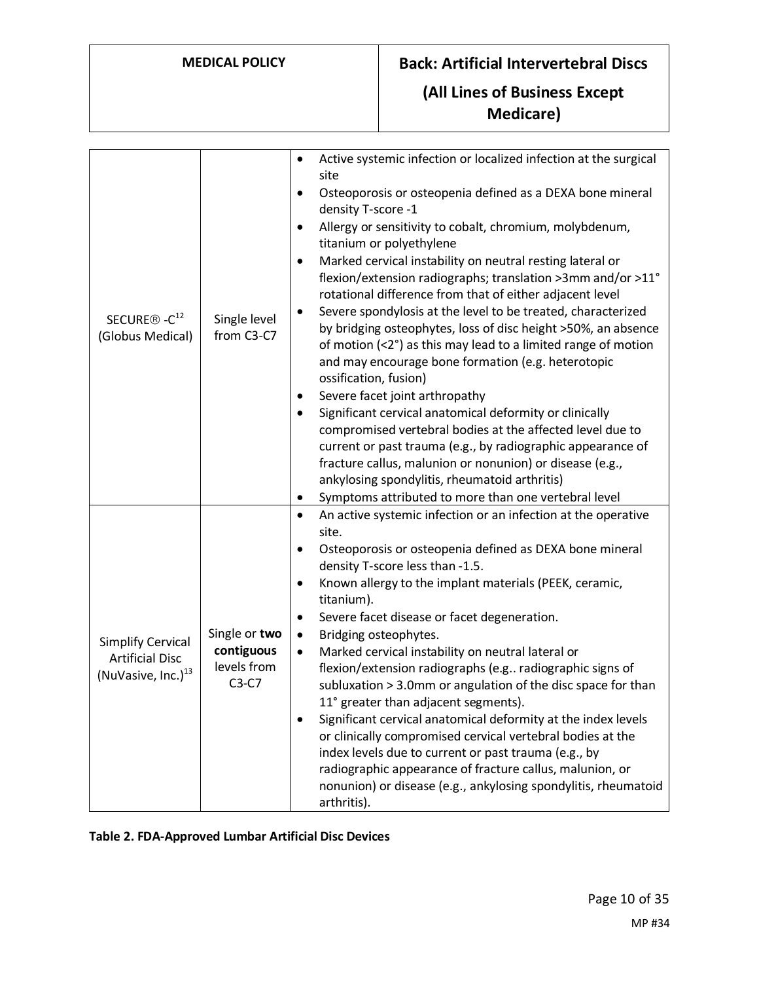**Medicare)**

| SECURE <sup>®</sup> -C <sup>12</sup><br>(Globus Medical)                             | Single level<br>from C3-C7                            | Active systemic infection or localized infection at the surgical<br>site<br>Osteoporosis or osteopenia defined as a DEXA bone mineral<br>٠<br>density T-score -1<br>Allergy or sensitivity to cobalt, chromium, molybdenum,<br>٠<br>titanium or polyethylene<br>Marked cervical instability on neutral resting lateral or<br>٠<br>flexion/extension radiographs; translation >3mm and/or >11°<br>rotational difference from that of either adjacent level<br>Severe spondylosis at the level to be treated, characterized<br>٠<br>by bridging osteophytes, loss of disc height >50%, an absence<br>of motion (<2°) as this may lead to a limited range of motion<br>and may encourage bone formation (e.g. heterotopic<br>ossification, fusion)<br>Severe facet joint arthropathy<br>٠<br>Significant cervical anatomical deformity or clinically<br>compromised vertebral bodies at the affected level due to<br>current or past trauma (e.g., by radiographic appearance of<br>fracture callus, malunion or nonunion) or disease (e.g.,<br>ankylosing spondylitis, rheumatoid arthritis)<br>Symptoms attributed to more than one vertebral level<br>٠ |
|--------------------------------------------------------------------------------------|-------------------------------------------------------|---------------------------------------------------------------------------------------------------------------------------------------------------------------------------------------------------------------------------------------------------------------------------------------------------------------------------------------------------------------------------------------------------------------------------------------------------------------------------------------------------------------------------------------------------------------------------------------------------------------------------------------------------------------------------------------------------------------------------------------------------------------------------------------------------------------------------------------------------------------------------------------------------------------------------------------------------------------------------------------------------------------------------------------------------------------------------------------------------------------------------------------------------------|
| <b>Simplify Cervical</b><br><b>Artificial Disc</b><br>(NuVasive, Inc.) <sup>13</sup> | Single or two<br>contiguous<br>levels from<br>$C3-C7$ | An active systemic infection or an infection at the operative<br>$\bullet$<br>site.<br>Osteoporosis or osteopenia defined as DEXA bone mineral<br>$\bullet$<br>density T-score less than -1.5.<br>Known allergy to the implant materials (PEEK, ceramic,<br>٠<br>titanium).<br>Severe facet disease or facet degeneration.<br>٠<br>Bridging osteophytes.<br>$\bullet$<br>Marked cervical instability on neutral lateral or<br>$\bullet$<br>flexion/extension radiographs (e.g radiographic signs of<br>subluxation > 3.0mm or angulation of the disc space for than<br>11° greater than adjacent segments).<br>Significant cervical anatomical deformity at the index levels<br>$\bullet$<br>or clinically compromised cervical vertebral bodies at the<br>index levels due to current or past trauma (e.g., by<br>radiographic appearance of fracture callus, malunion, or<br>nonunion) or disease (e.g., ankylosing spondylitis, rheumatoid<br>arthritis).                                                                                                                                                                                            |

<span id="page-9-0"></span>**Table 2. FDA-Approved Lumbar Artificial Disc Devices**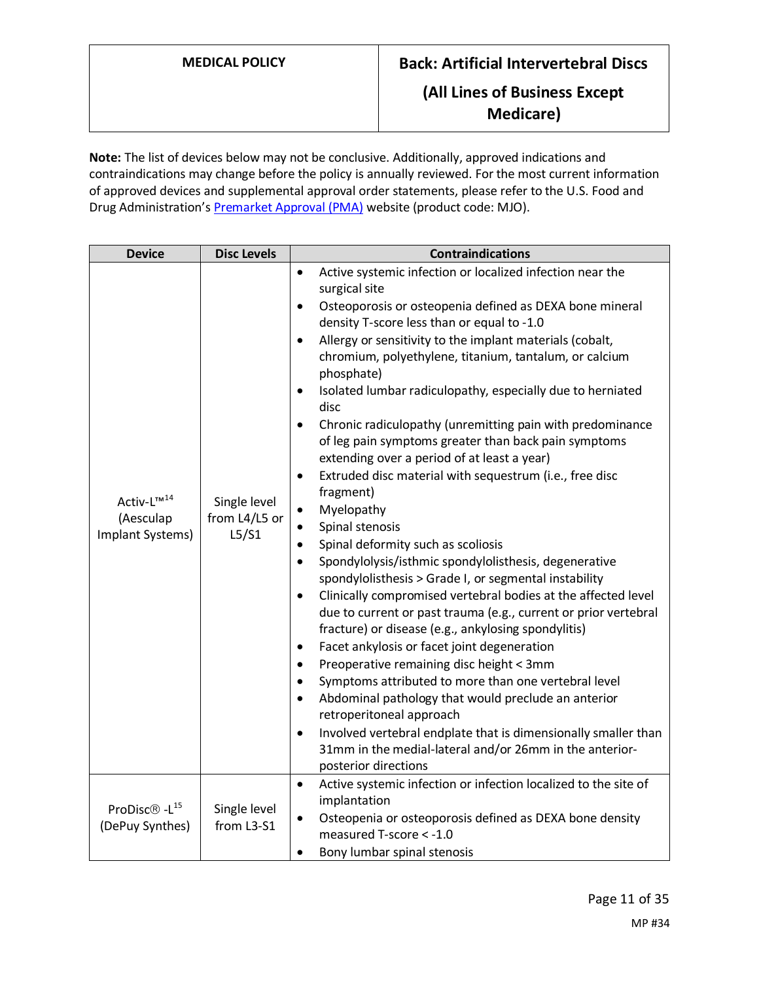**Note:** The list of devices below may not be conclusive. Additionally, approved indications and contraindications may change before the policy is annually reviewed. For the most current information of approved devices and supplemental approval order statements, please refer to the U.S. Food and Drug Administration's **Premarket Approval (PMA)** website (product code: MJO).

| <b>Device</b>                                           | <b>Disc Levels</b>                     | <b>Contraindications</b>                                                                                                                                                                                                                                                                                                                                                                                                                                                                                                                                                                                                                                                                                                                                                                                                                                                                                                                                                                                                                                                                                                                                                                                                                                                                                                                                                                                                                                                                                                                                                                                    |
|---------------------------------------------------------|----------------------------------------|-------------------------------------------------------------------------------------------------------------------------------------------------------------------------------------------------------------------------------------------------------------------------------------------------------------------------------------------------------------------------------------------------------------------------------------------------------------------------------------------------------------------------------------------------------------------------------------------------------------------------------------------------------------------------------------------------------------------------------------------------------------------------------------------------------------------------------------------------------------------------------------------------------------------------------------------------------------------------------------------------------------------------------------------------------------------------------------------------------------------------------------------------------------------------------------------------------------------------------------------------------------------------------------------------------------------------------------------------------------------------------------------------------------------------------------------------------------------------------------------------------------------------------------------------------------------------------------------------------------|
| Activ-L™ <sup>14</sup><br>(Aesculap<br>Implant Systems) | Single level<br>from L4/L5 or<br>L5/S1 | Active systemic infection or localized infection near the<br>$\bullet$<br>surgical site<br>Osteoporosis or osteopenia defined as DEXA bone mineral<br>$\bullet$<br>density T-score less than or equal to -1.0<br>Allergy or sensitivity to the implant materials (cobalt,<br>$\bullet$<br>chromium, polyethylene, titanium, tantalum, or calcium<br>phosphate)<br>Isolated lumbar radiculopathy, especially due to herniated<br>٠<br>disc<br>Chronic radiculopathy (unremitting pain with predominance<br>of leg pain symptoms greater than back pain symptoms<br>extending over a period of at least a year)<br>Extruded disc material with sequestrum (i.e., free disc<br>$\bullet$<br>fragment)<br>Myelopathy<br>$\bullet$<br>Spinal stenosis<br>$\bullet$<br>Spinal deformity such as scoliosis<br>$\bullet$<br>Spondylolysis/isthmic spondylolisthesis, degenerative<br>$\bullet$<br>spondylolisthesis > Grade I, or segmental instability<br>Clinically compromised vertebral bodies at the affected level<br>$\bullet$<br>due to current or past trauma (e.g., current or prior vertebral<br>fracture) or disease (e.g., ankylosing spondylitis)<br>Facet ankylosis or facet joint degeneration<br>٠<br>Preoperative remaining disc height < 3mm<br>$\bullet$<br>Symptoms attributed to more than one vertebral level<br>$\bullet$<br>Abdominal pathology that would preclude an anterior<br>$\bullet$<br>retroperitoneal approach<br>Involved vertebral endplate that is dimensionally smaller than<br>$\bullet$<br>31mm in the medial-lateral and/or 26mm in the anterior-<br>posterior directions |
| ProDisc® -L <sup>15</sup><br>(DePuy Synthes)            | Single level<br>from L3-S1             | Active systemic infection or infection localized to the site of<br>٠<br>implantation<br>Osteopenia or osteoporosis defined as DEXA bone density<br>٠<br>measured T-score < -1.0<br>Bony lumbar spinal stenosis<br>٠                                                                                                                                                                                                                                                                                                                                                                                                                                                                                                                                                                                                                                                                                                                                                                                                                                                                                                                                                                                                                                                                                                                                                                                                                                                                                                                                                                                         |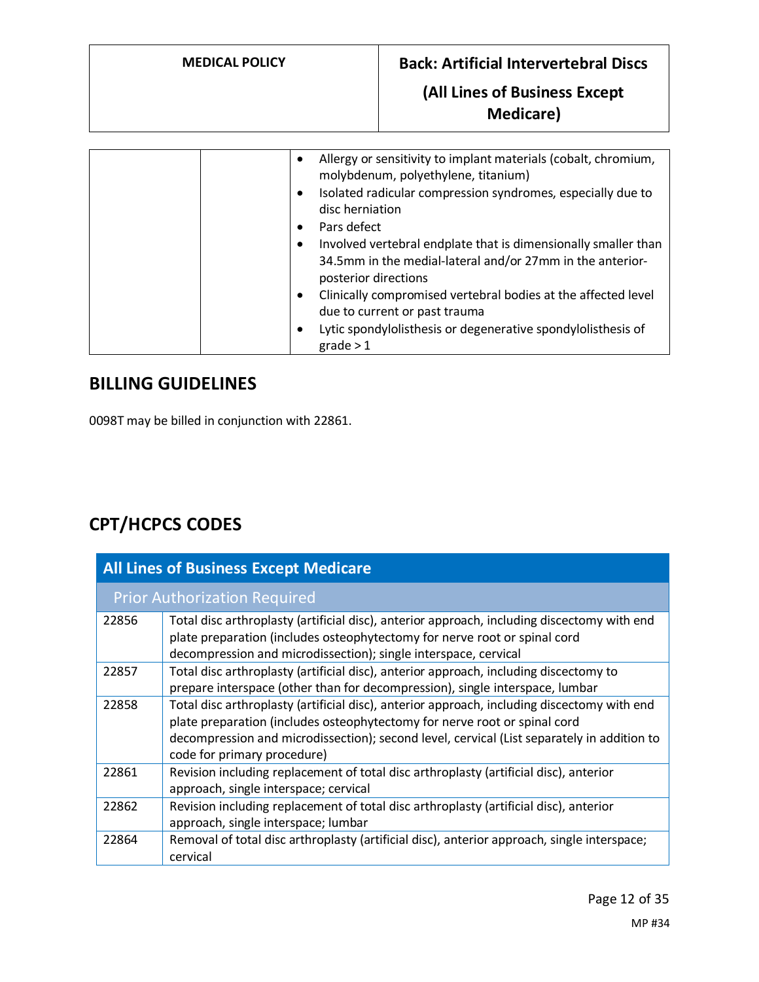|  | Allergy or sensitivity to implant materials (cobalt, chromium,<br>molybdenum, polyethylene, titanium)<br>Isolated radicular compression syndromes, especially due to<br>disc herniation<br>Pars defect<br>Involved vertebral endplate that is dimensionally smaller than<br>34.5mm in the medial-lateral and/or 27mm in the anterior-<br>posterior directions<br>Clinically compromised vertebral bodies at the affected level<br>due to current or past trauma<br>Lytic spondylolisthesis or degenerative spondylolisthesis of<br>grade > 1 |
|--|----------------------------------------------------------------------------------------------------------------------------------------------------------------------------------------------------------------------------------------------------------------------------------------------------------------------------------------------------------------------------------------------------------------------------------------------------------------------------------------------------------------------------------------------|
|--|----------------------------------------------------------------------------------------------------------------------------------------------------------------------------------------------------------------------------------------------------------------------------------------------------------------------------------------------------------------------------------------------------------------------------------------------------------------------------------------------------------------------------------------------|

# **BILLING GUIDELINES**

0098T may be billed in conjunction with 22861.

# **CPT/HCPCS CODES**

| <b>All Lines of Business Except Medicare</b> |                                                                                                                                                                                                                                                                                                       |  |
|----------------------------------------------|-------------------------------------------------------------------------------------------------------------------------------------------------------------------------------------------------------------------------------------------------------------------------------------------------------|--|
|                                              | <b>Prior Authorization Required</b>                                                                                                                                                                                                                                                                   |  |
| 22856                                        | Total disc arthroplasty (artificial disc), anterior approach, including discectomy with end<br>plate preparation (includes osteophytectomy for nerve root or spinal cord<br>decompression and microdissection); single interspace, cervical                                                           |  |
| 22857                                        | Total disc arthroplasty (artificial disc), anterior approach, including discectomy to<br>prepare interspace (other than for decompression), single interspace, lumbar                                                                                                                                 |  |
| 22858                                        | Total disc arthroplasty (artificial disc), anterior approach, including discectomy with end<br>plate preparation (includes osteophytectomy for nerve root or spinal cord<br>decompression and microdissection); second level, cervical (List separately in addition to<br>code for primary procedure) |  |
| 22861                                        | Revision including replacement of total disc arthroplasty (artificial disc), anterior<br>approach, single interspace; cervical                                                                                                                                                                        |  |
| 22862                                        | Revision including replacement of total disc arthroplasty (artificial disc), anterior<br>approach, single interspace; lumbar                                                                                                                                                                          |  |
| 22864                                        | Removal of total disc arthroplasty (artificial disc), anterior approach, single interspace;<br>cervical                                                                                                                                                                                               |  |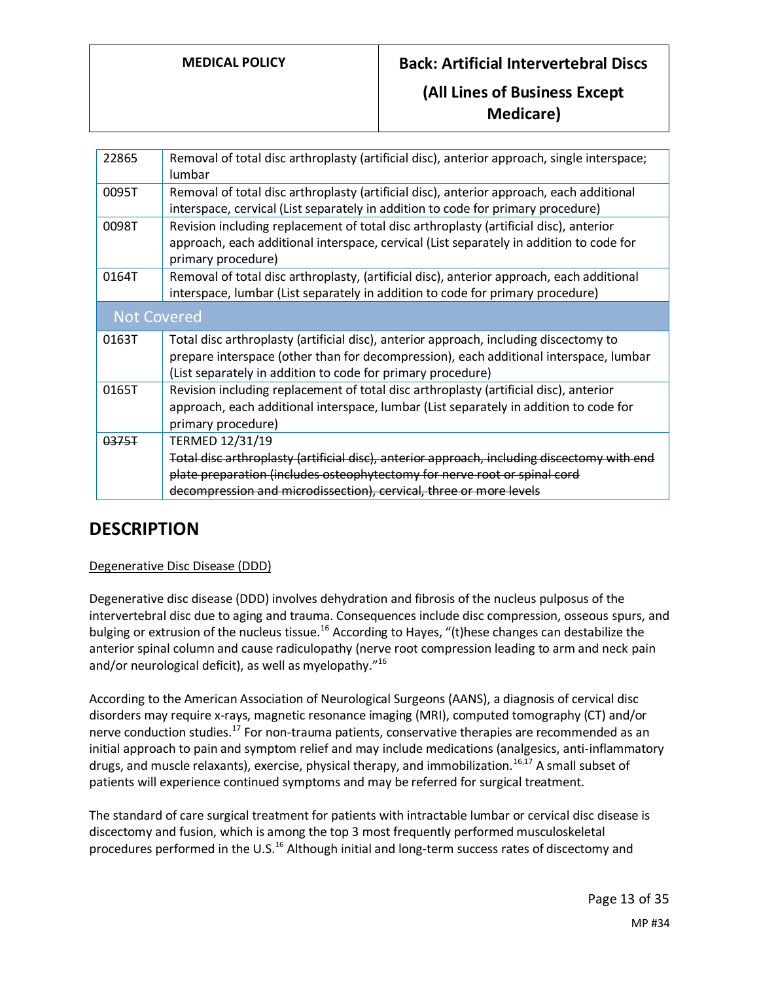| Removal of total disc arthroplasty (artificial disc), anterior approach, single interspace;<br>lumbar                                                                                                                                         |
|-----------------------------------------------------------------------------------------------------------------------------------------------------------------------------------------------------------------------------------------------|
| Removal of total disc arthroplasty (artificial disc), anterior approach, each additional<br>interspace, cervical (List separately in addition to code for primary procedure)                                                                  |
| Revision including replacement of total disc arthroplasty (artificial disc), anterior<br>approach, each additional interspace, cervical (List separately in addition to code for<br>primary procedure)                                        |
| Removal of total disc arthroplasty, (artificial disc), anterior approach, each additional<br>interspace, lumbar (List separately in addition to code for primary procedure)                                                                   |
| <b>Not Covered</b>                                                                                                                                                                                                                            |
| Total disc arthroplasty (artificial disc), anterior approach, including discectomy to<br>prepare interspace (other than for decompression), each additional interspace, lumbar<br>(List separately in addition to code for primary procedure) |
| Revision including replacement of total disc arthroplasty (artificial disc), anterior<br>approach, each additional interspace, lumbar (List separately in addition to code for<br>primary procedure)                                          |
| TERMED 12/31/19<br>Total disc arthroplasty (artificial disc), anterior approach, including discectomy with end<br>plate preparation (includes osteophytectomy for nerve root or spinal cord                                                   |
|                                                                                                                                                                                                                                               |

# **DESCRIPTION**

### Degenerative Disc Disease (DDD)

Degenerative disc disease (DDD) involves dehydration and fibrosis of the nucleus pulposus of the intervertebral disc due to aging and trauma. Consequences include disc compression, osseous spurs, and bulging or extrusion of the nucleus tissue.<sup>16</sup> According to Hayes, "(t)hese changes can destabilize the anterior spinal column and cause radiculopathy (nerve root compression leading to arm and neck pain and/or neurological deficit), as well as myelopathy."<sup>16</sup>

According to the American Association of Neurological Surgeons (AANS), a diagnosis of cervical disc disorders may require x-rays, magnetic resonance imaging (MRI), computed tomography (CT) and/or nerve conduction studies.<sup>17</sup> For non-trauma patients, conservative therapies are recommended as an initial approach to pain and symptom relief and may include medications (analgesics, anti-inflammatory drugs, and muscle relaxants), exercise, physical therapy, and immobilization.<sup>16,17</sup> A small subset of patients will experience continued symptoms and may be referred for surgical treatment.

The standard of care surgical treatment for patients with intractable lumbar or cervical disc disease is discectomy and fusion, which is among the top 3 most frequently performed musculoskeletal procedures performed in the U.S.<sup>16</sup> Although initial and long-term success rates of discectomy and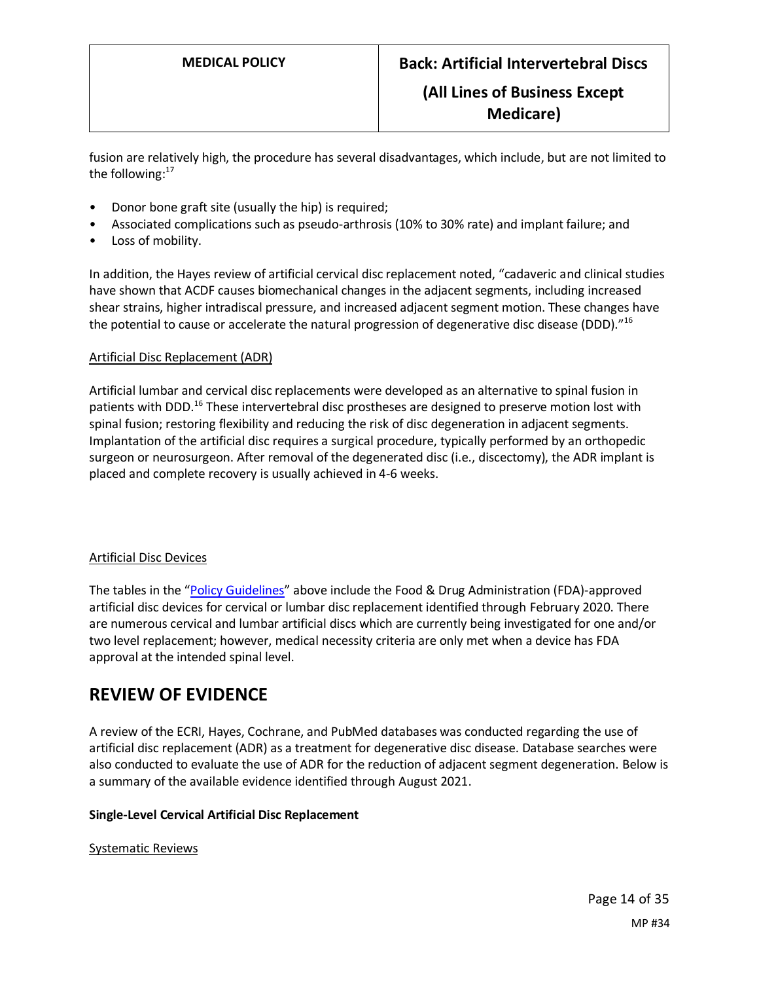fusion are relatively high, the procedure has several disadvantages, which include, but are not limited to the following:<sup>17</sup>

- Donor bone graft site (usually the hip) is required;
- Associated complications such as pseudo-arthrosis (10% to 30% rate) and implant failure; and
- Loss of mobility.

In addition, the Hayes review of artificial cervical disc replacement noted, "cadaveric and clinical studies have shown that ACDF causes biomechanical changes in the adjacent segments, including increased shear strains, higher intradiscal pressure, and increased adjacent segment motion. These changes have the potential to cause or accelerate the natural progression of degenerative disc disease (DDD)."<sup>16</sup>

#### Artificial Disc Replacement (ADR)

Artificial lumbar and cervical disc replacements were developed as an alternative to spinal fusion in patients with DDD.<sup>16</sup> These intervertebral disc prostheses are designed to preserve motion lost with spinal fusion; restoring flexibility and reducing the risk of disc degeneration in adjacent segments. Implantation of the artificial disc requires a surgical procedure, typically performed by an orthopedic surgeon or neurosurgeon. After removal of the degenerated disc (i.e., discectomy), the ADR implant is placed and complete recovery is usually achieved in 4-6 weeks.

#### Artificial Disc Devices

The tables in the "Policy Guidelines" above include the Food & Drug Administration (FDA)-approved artificial disc devices for cervical or lumbar disc replacement identified through February 2020. There are numerous cervical and lumbar artificial discs which are currently being investigated for one and/or two level replacement; however, medical necessity criteria are only met when a device has FDA approval at the intended spinal level.

## **REVIEW OF EVIDENCE**

A review of the ECRI, Hayes, Cochrane, and PubMed databases was conducted regarding the use of artificial disc replacement (ADR) as a treatment for degenerative disc disease. Database searches were also conducted to evaluate the use of ADR for the reduction of adjacent segment degeneration. Below is a summary of the available evidence identified through August 2021.

#### **Single-Level Cervical Artificial Disc Replacement**

#### Systematic Reviews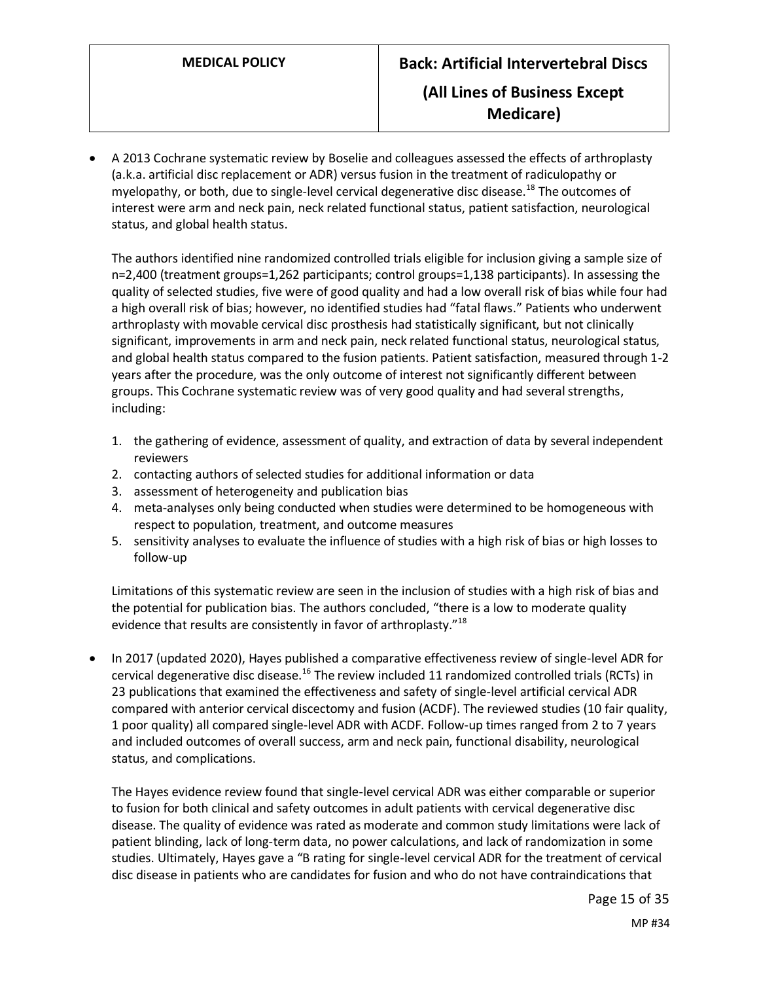• A 2013 Cochrane systematic review by Boselie and colleagues assessed the effects of arthroplasty (a.k.a. artificial disc replacement or ADR) versus fusion in the treatment of radiculopathy or myelopathy, or both, due to single-level cervical degenerative disc disease.<sup>18</sup> The outcomes of interest were arm and neck pain, neck related functional status, patient satisfaction, neurological status, and global health status.

The authors identified nine randomized controlled trials eligible for inclusion giving a sample size of n=2,400 (treatment groups=1,262 participants; control groups=1,138 participants). In assessing the quality of selected studies, five were of good quality and had a low overall risk of bias while four had a high overall risk of bias; however, no identified studies had "fatal flaws." Patients who underwent arthroplasty with movable cervical disc prosthesis had statistically significant, but not clinically significant, improvements in arm and neck pain, neck related functional status, neurological status, and global health status compared to the fusion patients. Patient satisfaction, measured through 1-2 years after the procedure, was the only outcome of interest not significantly different between groups. This Cochrane systematic review was of very good quality and had several strengths, including:

- 1. the gathering of evidence, assessment of quality, and extraction of data by several independent reviewers
- 2. contacting authors of selected studies for additional information or data
- 3. assessment of heterogeneity and publication bias
- 4. meta-analyses only being conducted when studies were determined to be homogeneous with respect to population, treatment, and outcome measures
- 5. sensitivity analyses to evaluate the influence of studies with a high risk of bias or high losses to follow-up

Limitations of this systematic review are seen in the inclusion of studies with a high risk of bias and the potential for publication bias. The authors concluded, "there is a low to moderate quality evidence that results are consistently in favor of arthroplasty."<sup>18</sup>

• In 2017 (updated 2020), Hayes published a comparative effectiveness review of single-level ADR for cervical degenerative disc disease.<sup>16</sup> The review included 11 randomized controlled trials (RCTs) in 23 publications that examined the effectiveness and safety of single-level artificial cervical ADR compared with anterior cervical discectomy and fusion (ACDF). The reviewed studies (10 fair quality, 1 poor quality) all compared single-level ADR with ACDF. Follow-up times ranged from 2 to 7 years and included outcomes of overall success, arm and neck pain, functional disability, neurological status, and complications.

The Hayes evidence review found that single-level cervical ADR was either comparable or superior to fusion for both clinical and safety outcomes in adult patients with cervical degenerative disc disease. The quality of evidence was rated as moderate and common study limitations were lack of patient blinding, lack of long-term data, no power calculations, and lack of randomization in some studies. Ultimately, Hayes gave a "B rating for single-level cervical ADR for the treatment of cervical disc disease in patients who are candidates for fusion and who do not have contraindications that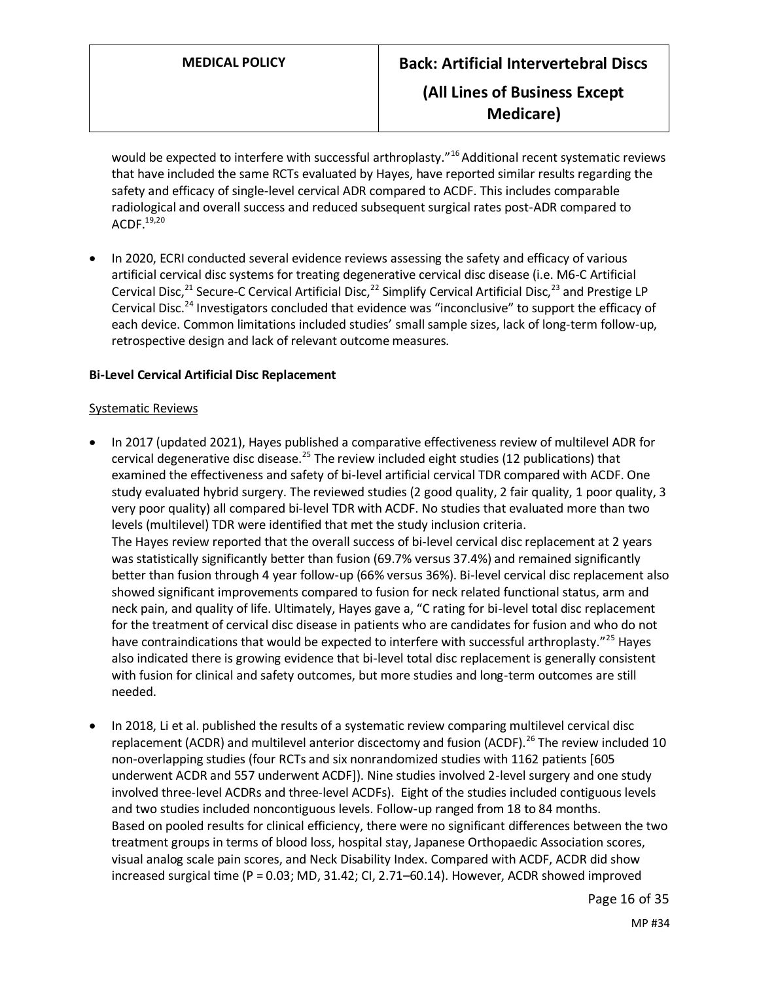would be expected to interfere with successful arthroplasty."<sup>16</sup> Additional recent systematic reviews that have included the same RCTs evaluated by Hayes, have reported similar results regarding the safety and efficacy of single-level cervical ADR compared to ACDF. This includes comparable radiological and overall success and reduced subsequent surgical rates post-ADR compared to ACDF.19,20

• In 2020, ECRI conducted several evidence reviews assessing the safety and efficacy of various artificial cervical disc systems for treating degenerative cervical disc disease (i.e. M6-C Artificial Cervical Disc,<sup>21</sup> Secure-C Cervical Artificial Disc,<sup>22</sup> Simplify Cervical Artificial Disc,<sup>23</sup> and Prestige LP Cervical Disc.<sup>24</sup> Investigators concluded that evidence was "inconclusive" to support the efficacy of each device. Common limitations included studies' small sample sizes, lack of long-term follow-up, retrospective design and lack of relevant outcome measures.

### **Bi-Level Cervical Artificial Disc Replacement**

#### Systematic Reviews

- In 2017 (updated 2021), Hayes published a comparative effectiveness review of multilevel ADR for cervical degenerative disc disease.<sup>25</sup> The review included eight studies (12 publications) that examined the effectiveness and safety of bi-level artificial cervical TDR compared with ACDF. One study evaluated hybrid surgery. The reviewed studies (2 good quality, 2 fair quality, 1 poor quality, 3 very poor quality) all compared bi-level TDR with ACDF. No studies that evaluated more than two levels (multilevel) TDR were identified that met the study inclusion criteria. The Hayes review reported that the overall success of bi-level cervical disc replacement at 2 years was statistically significantly better than fusion (69.7% versus 37.4%) and remained significantly better than fusion through 4 year follow-up (66% versus 36%). Bi-level cervical disc replacement also showed significant improvements compared to fusion for neck related functional status, arm and neck pain, and quality of life. Ultimately, Hayes gave a, "C rating for bi-level total disc replacement for the treatment of cervical disc disease in patients who are candidates for fusion and who do not have contraindications that would be expected to interfere with successful arthroplasty."<sup>25</sup> Hayes also indicated there is growing evidence that bi-level total disc replacement is generally consistent with fusion for clinical and safety outcomes, but more studies and long-term outcomes are still needed.
- In 2018, Li et al. published the results of a systematic review comparing multilevel cervical disc replacement (ACDR) and multilevel anterior discectomy and fusion (ACDF).<sup>26</sup> The review included 10 non-overlapping studies (four RCTs and six nonrandomized studies with 1162 patients [605 underwent ACDR and 557 underwent ACDF]). Nine studies involved 2-level surgery and one study involved three-level ACDRs and three-level ACDFs). Eight of the studies included contiguous levels and two studies included noncontiguous levels. Follow-up ranged from 18 to 84 months. Based on pooled results for clinical efficiency, there were no significant differences between the two treatment groups in terms of blood loss, hospital stay, Japanese Orthopaedic Association scores, visual analog scale pain scores, and Neck Disability Index. Compared with ACDF, ACDR did show increased surgical time (P = 0.03; MD, 31.42; CI, 2.71–60.14). However, ACDR showed improved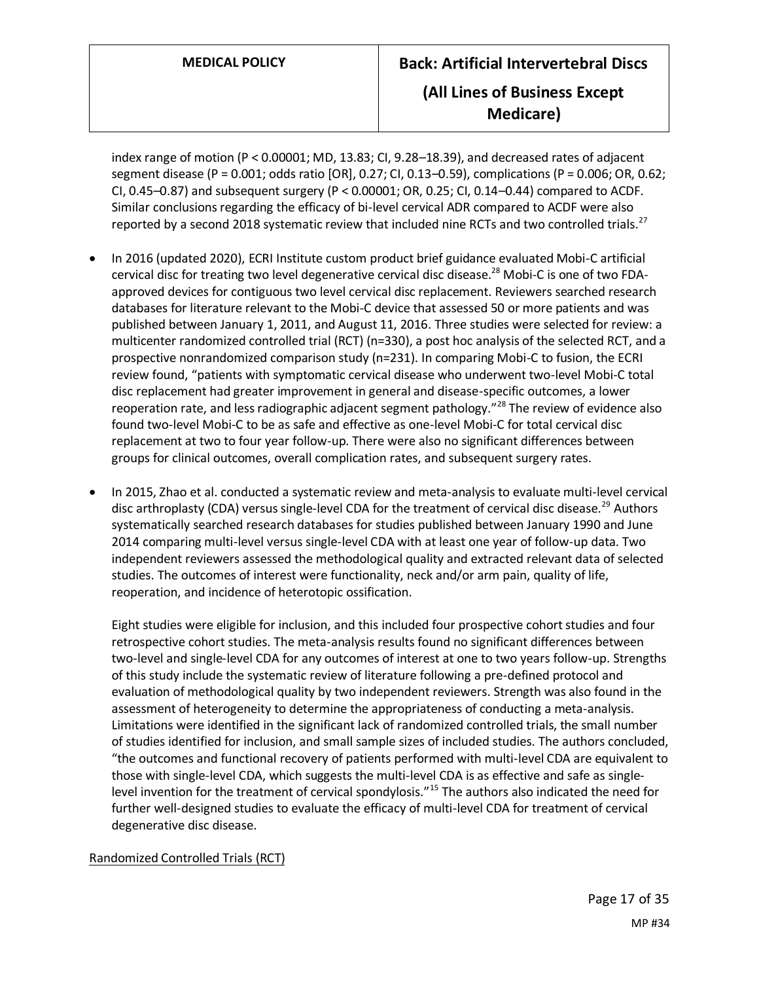index range of motion (P < 0.00001; MD, 13.83; CI, 9.28–18.39), and decreased rates of adjacent segment disease (P = 0.001; odds ratio [OR], 0.27; CI, 0.13–0.59), complications (P = 0.006; OR, 0.62; CI, 0.45–0.87) and subsequent surgery (P < 0.00001; OR, 0.25; CI, 0.14–0.44) compared to ACDF. Similar conclusions regarding the efficacy of bi-level cervical ADR compared to ACDF were also reported by a second 2018 systematic review that included nine RCTs and two controlled trials.<sup>27</sup>

- In 2016 (updated 2020), ECRI Institute custom product brief guidance evaluated Mobi-C artificial cervical disc for treating two level degenerative cervical disc disease.<sup>28</sup> Mobi-C is one of two FDAapproved devices for contiguous two level cervical disc replacement. Reviewers searched research databases for literature relevant to the Mobi-C device that assessed 50 or more patients and was published between January 1, 2011, and August 11, 2016. Three studies were selected for review: a multicenter randomized controlled trial (RCT) (n=330), a post hoc analysis of the selected RCT, and a prospective nonrandomized comparison study (n=231). In comparing Mobi-C to fusion, the ECRI review found, "patients with symptomatic cervical disease who underwent two-level Mobi-C total disc replacement had greater improvement in general and disease-specific outcomes, a lower reoperation rate, and less radiographic adjacent segment pathology."<sup>28</sup> The review of evidence also found two-level Mobi-C to be as safe and effective as one-level Mobi-C for total cervical disc replacement at two to four year follow-up. There were also no significant differences between groups for clinical outcomes, overall complication rates, and subsequent surgery rates.
- In 2015, Zhao et al. conducted a systematic review and meta-analysis to evaluate multi-level cervical disc arthroplasty (CDA) versus single-level CDA for the treatment of cervical disc disease.<sup>29</sup> Authors systematically searched research databases for studies published between January 1990 and June 2014 comparing multi-level versus single-level CDA with at least one year of follow-up data. Two independent reviewers assessed the methodological quality and extracted relevant data of selected studies. The outcomes of interest were functionality, neck and/or arm pain, quality of life, reoperation, and incidence of heterotopic ossification.

Eight studies were eligible for inclusion, and this included four prospective cohort studies and four retrospective cohort studies. The meta-analysis results found no significant differences between two-level and single-level CDA for any outcomes of interest at one to two years follow-up. Strengths of this study include the systematic review of literature following a pre-defined protocol and evaluation of methodological quality by two independent reviewers. Strength was also found in the assessment of heterogeneity to determine the appropriateness of conducting a meta-analysis. Limitations were identified in the significant lack of randomized controlled trials, the small number of studies identified for inclusion, and small sample sizes of included studies. The authors concluded, "the outcomes and functional recovery of patients performed with multi-level CDA are equivalent to those with single-level CDA, which suggests the multi-level CDA is as effective and safe as singlelevel invention for the treatment of cervical spondylosis."<sup>15</sup> The authors also indicated the need for further well-designed studies to evaluate the efficacy of multi-level CDA for treatment of cervical degenerative disc disease.

Randomized Controlled Trials (RCT)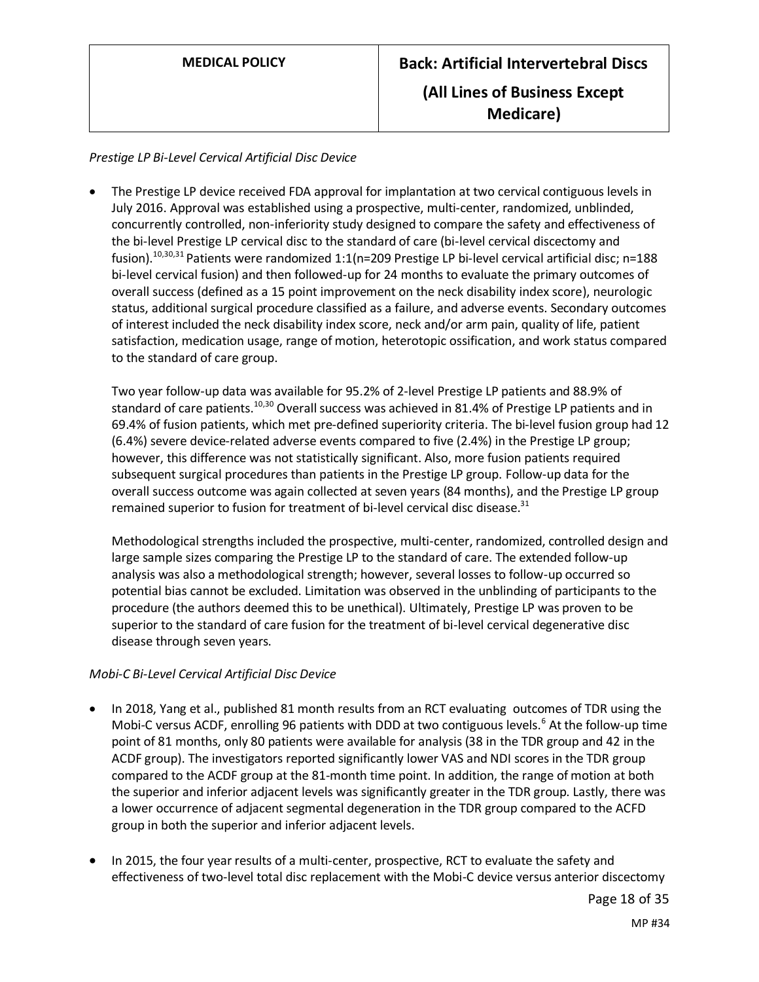### *Prestige LP Bi-Level Cervical Artificial Disc Device*

• The Prestige LP device received FDA approval for implantation at two cervical contiguous levels in July 2016. Approval was established using a prospective, multi-center, randomized, unblinded, concurrently controlled, non-inferiority study designed to compare the safety and effectiveness of the bi-level Prestige LP cervical disc to the standard of care (bi-level cervical discectomy and fusion).<sup>10,30,31</sup> Patients were randomized 1:1(n=209 Prestige LP bi-level cervical artificial disc; n=188 bi-level cervical fusion) and then followed-up for 24 months to evaluate the primary outcomes of overall success (defined as a 15 point improvement on the neck disability index score), neurologic status, additional surgical procedure classified as a failure, and adverse events. Secondary outcomes of interest included the neck disability index score, neck and/or arm pain, quality of life, patient satisfaction, medication usage, range of motion, heterotopic ossification, and work status compared to the standard of care group.

Two year follow-up data was available for 95.2% of 2-level Prestige LP patients and 88.9% of standard of care patients.<sup>10,30</sup> Overall success was achieved in 81.4% of Prestige LP patients and in 69.4% of fusion patients, which met pre-defined superiority criteria. The bi-level fusion group had 12 (6.4%) severe device-related adverse events compared to five (2.4%) in the Prestige LP group; however, this difference was not statistically significant. Also, more fusion patients required subsequent surgical procedures than patients in the Prestige LP group. Follow-up data for the overall success outcome was again collected at seven years (84 months), and the Prestige LP group remained superior to fusion for treatment of bi-level cervical disc disease. $31$ 

Methodological strengths included the prospective, multi-center, randomized, controlled design and large sample sizes comparing the Prestige LP to the standard of care. The extended follow-up analysis was also a methodological strength; however, several losses to follow-up occurred so potential bias cannot be excluded. Limitation was observed in the unblinding of participants to the procedure (the authors deemed this to be unethical). Ultimately, Prestige LP was proven to be superior to the standard of care fusion for the treatment of bi-level cervical degenerative disc disease through seven years.

### *Mobi-C Bi-Level Cervical Artificial Disc Device*

- In 2018, Yang et al., published 81 month results from an RCT evaluating outcomes of TDR using the Mobi-C versus ACDF, enrolling 96 patients with DDD at two contiguous levels.<sup>6</sup> At the follow-up time point of 81 months, only 80 patients were available for analysis (38 in the TDR group and 42 in the ACDF group). The investigators reported significantly lower VAS and NDI scores in the TDR group compared to the ACDF group at the 81-month time point. In addition, the range of motion at both the superior and inferior adjacent levels was significantly greater in the TDR group. Lastly, there was a lower occurrence of adjacent segmental degeneration in the TDR group compared to the ACFD group in both the superior and inferior adjacent levels.
- In 2015, the four year results of a multi-center, prospective, RCT to evaluate the safety and effectiveness of two-level total disc replacement with the Mobi-C device versus anterior discectomy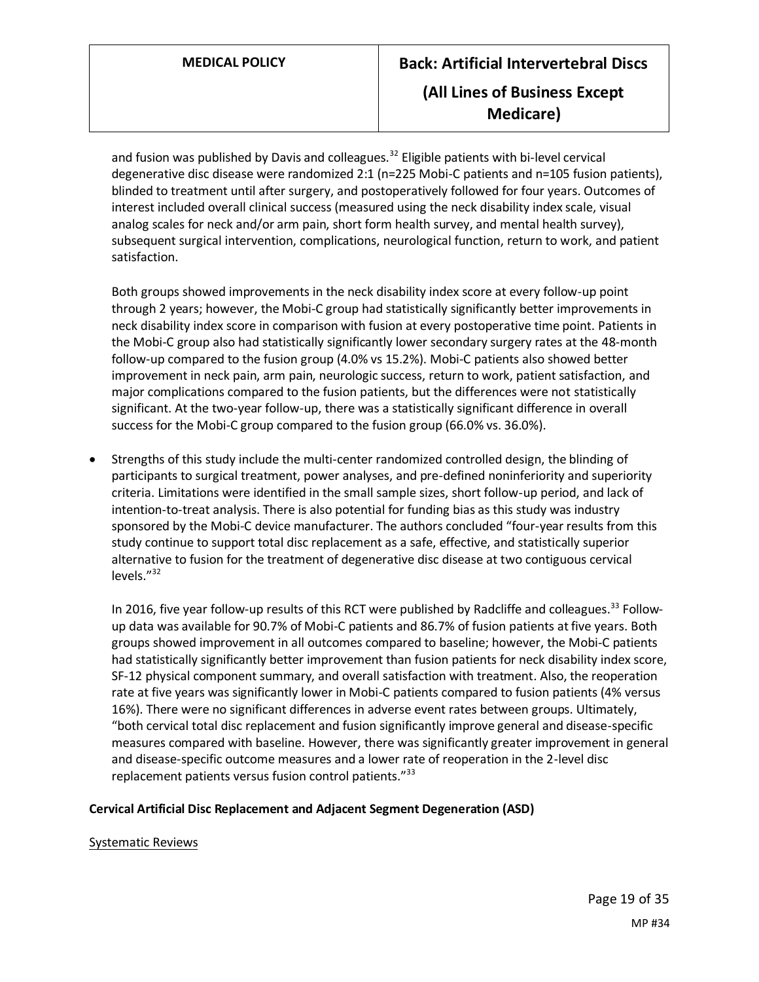and fusion was published by Davis and colleagues. $32$  Eligible patients with bi-level cervical degenerative disc disease were randomized 2:1 (n=225 Mobi-C patients and n=105 fusion patients), blinded to treatment until after surgery, and postoperatively followed for four years. Outcomes of interest included overall clinical success (measured using the neck disability index scale, visual analog scales for neck and/or arm pain, short form health survey, and mental health survey), subsequent surgical intervention, complications, neurological function, return to work, and patient satisfaction.

Both groups showed improvements in the neck disability index score at every follow-up point through 2 years; however, the Mobi-C group had statistically significantly better improvements in neck disability index score in comparison with fusion at every postoperative time point. Patients in the Mobi-C group also had statistically significantly lower secondary surgery rates at the 48-month follow-up compared to the fusion group (4.0% vs 15.2%). Mobi-C patients also showed better improvement in neck pain, arm pain, neurologic success, return to work, patient satisfaction, and major complications compared to the fusion patients, but the differences were not statistically significant. At the two-year follow-up, there was a statistically significant difference in overall success for the Mobi-C group compared to the fusion group (66.0% vs. 36.0%).

• Strengths of this study include the multi-center randomized controlled design, the blinding of participants to surgical treatment, power analyses, and pre-defined noninferiority and superiority criteria. Limitations were identified in the small sample sizes, short follow-up period, and lack of intention-to-treat analysis. There is also potential for funding bias as this study was industry sponsored by the Mobi-C device manufacturer. The authors concluded "four-year results from this study continue to support total disc replacement as a safe, effective, and statistically superior alternative to fusion for the treatment of degenerative disc disease at two contiguous cervical levels."<sup>32</sup>

In 2016, five year follow-up results of this RCT were published by Radcliffe and colleagues.<sup>33</sup> Followup data was available for 90.7% of Mobi-C patients and 86.7% of fusion patients at five years. Both groups showed improvement in all outcomes compared to baseline; however, the Mobi-C patients had statistically significantly better improvement than fusion patients for neck disability index score, SF-12 physical component summary, and overall satisfaction with treatment. Also, the reoperation rate at five years was significantly lower in Mobi-C patients compared to fusion patients (4% versus 16%). There were no significant differences in adverse event rates between groups. Ultimately, "both cervical total disc replacement and fusion significantly improve general and disease-specific measures compared with baseline. However, there was significantly greater improvement in general and disease-specific outcome measures and a lower rate of reoperation in the 2-level disc replacement patients versus fusion control patients."<sup>33</sup>

#### **Cervical Artificial Disc Replacement and Adjacent Segment Degeneration (ASD)**

#### Systematic Reviews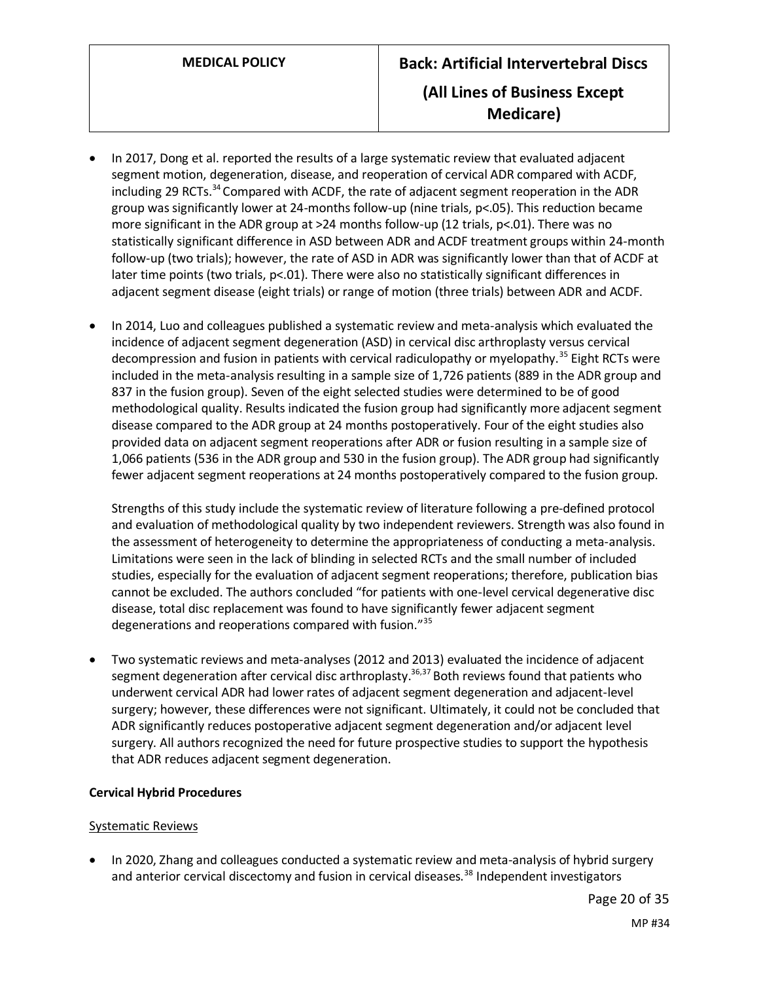- In 2017, Dong et al. reported the results of a large systematic review that evaluated adjacent segment motion, degeneration, disease, and reoperation of cervical ADR compared with ACDF, including 29 RCTs. $34$  Compared with ACDF, the rate of adjacent segment reoperation in the ADR group was significantly lower at 24-months follow-up (nine trials, p<.05). This reduction became more significant in the ADR group at >24 months follow-up (12 trials, p<.01). There was no statistically significant difference in ASD between ADR and ACDF treatment groups within 24-month follow-up (two trials); however, the rate of ASD in ADR was significantly lower than that of ACDF at later time points (two trials, p<.01). There were also no statistically significant differences in adjacent segment disease (eight trials) or range of motion (three trials) between ADR and ACDF.
- In 2014, Luo and colleagues published a systematic review and meta-analysis which evaluated the incidence of adjacent segment degeneration (ASD) in cervical disc arthroplasty versus cervical decompression and fusion in patients with cervical radiculopathy or myelopathy.<sup>35</sup> Eight RCTs were included in the meta-analysis resulting in a sample size of 1,726 patients (889 in the ADR group and 837 in the fusion group). Seven of the eight selected studies were determined to be of good methodological quality. Results indicated the fusion group had significantly more adjacent segment disease compared to the ADR group at 24 months postoperatively. Four of the eight studies also provided data on adjacent segment reoperations after ADR or fusion resulting in a sample size of 1,066 patients (536 in the ADR group and 530 in the fusion group). The ADR group had significantly fewer adjacent segment reoperations at 24 months postoperatively compared to the fusion group.

Strengths of this study include the systematic review of literature following a pre-defined protocol and evaluation of methodological quality by two independent reviewers. Strength was also found in the assessment of heterogeneity to determine the appropriateness of conducting a meta-analysis. Limitations were seen in the lack of blinding in selected RCTs and the small number of included studies, especially for the evaluation of adjacent segment reoperations; therefore, publication bias cannot be excluded. The authors concluded "for patients with one-level cervical degenerative disc disease, total disc replacement was found to have significantly fewer adjacent segment degenerations and reoperations compared with fusion."<sup>35</sup>

• Two systematic reviews and meta-analyses (2012 and 2013) evaluated the incidence of adjacent segment degeneration after cervical disc arthroplasty.<sup>36,37</sup> Both reviews found that patients who underwent cervical ADR had lower rates of adjacent segment degeneration and adjacent-level surgery; however, these differences were not significant. Ultimately, it could not be concluded that ADR significantly reduces postoperative adjacent segment degeneration and/or adjacent level surgery. All authors recognized the need for future prospective studies to support the hypothesis that ADR reduces adjacent segment degeneration.

### **Cervical Hybrid Procedures**

### Systematic Reviews

• In 2020, Zhang and colleagues conducted a systematic review and meta-analysis of hybrid surgery and anterior cervical discectomy and fusion in cervical diseases.<sup>38</sup> Independent investigators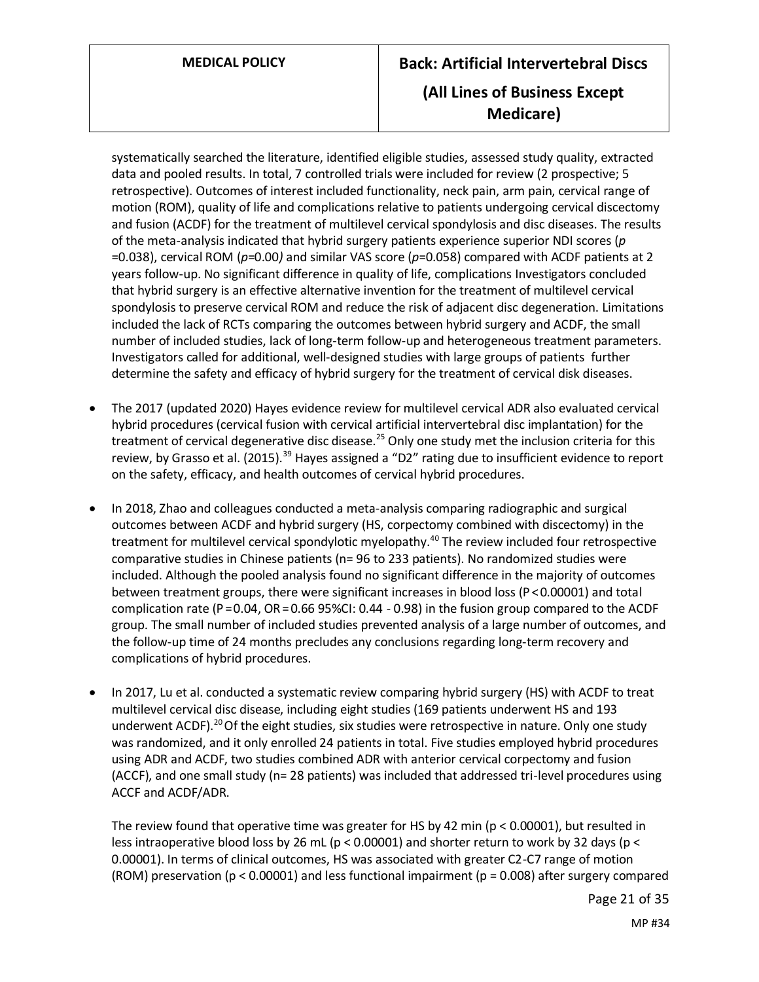# **MEDICAL POLICY Back: Artificial Intervertebral Discs (All Lines of Business Except Medicare)**

systematically searched the literature, identified eligible studies, assessed study quality, extracted data and pooled results. In total, 7 controlled trials were included for review (2 prospective; 5 retrospective). Outcomes of interest included functionality, neck pain, arm pain, cervical range of motion (ROM), quality of life and complications relative to patients undergoing cervical discectomy and fusion (ACDF) for the treatment of multilevel cervical spondylosis and disc diseases. The results of the meta-analysis indicated that hybrid surgery patients experience superior NDI scores (*p* =0.038), cervical ROM (*p*=0.00*)* and similar VAS score (*p*=0.058) compared with ACDF patients at 2 years follow-up. No significant difference in quality of life, complications Investigators concluded that hybrid surgery is an effective alternative invention for the treatment of multilevel cervical spondylosis to preserve cervical ROM and reduce the risk of adjacent disc degeneration. Limitations included the lack of RCTs comparing the outcomes between hybrid surgery and ACDF, the small number of included studies, lack of long-term follow-up and heterogeneous treatment parameters. Investigators called for additional, well-designed studies with large groups of patients further determine the safety and efficacy of hybrid surgery for the treatment of cervical disk diseases.

- The 2017 (updated 2020) Hayes evidence review for multilevel cervical ADR also evaluated cervical hybrid procedures (cervical fusion with cervical artificial intervertebral disc implantation) for the treatment of cervical degenerative disc disease.<sup>25</sup> Only one study met the inclusion criteria for this review, by Grasso et al. (2015).<sup>39</sup> Hayes assigned a "D2" rating due to insufficient evidence to report on the safety, efficacy, and health outcomes of cervical hybrid procedures.
- In 2018, Zhao and colleagues conducted a meta-analysis comparing radiographic and surgical outcomes between ACDF and hybrid surgery (HS, corpectomy combined with discectomy) in the treatment for multilevel cervical spondylotic myelopathy.<sup>40</sup> The review included four retrospective comparative studies in Chinese patients (n= 96 to 233 patients). No randomized studies were included. Although the pooled analysis found no significant difference in the majority of outcomes between treatment groups, there were significant increases in blood loss (P < 0.00001) and total complication rate (P $=$ 0.04, OR $=$  0.66 95%CI: 0.44 - 0.98) in the fusion group compared to the ACDF group. The small number of included studies prevented analysis of a large number of outcomes, and the follow-up time of 24 months precludes any conclusions regarding long-term recovery and complications of hybrid procedures.
- In 2017, Lu et al. conducted a systematic review comparing hybrid surgery (HS) with ACDF to treat multilevel cervical disc disease, including eight studies (169 patients underwent HS and 193 underwent ACDF).<sup>20</sup> Of the eight studies, six studies were retrospective in nature. Only one study was randomized, and it only enrolled 24 patients in total. Five studies employed hybrid procedures using ADR and ACDF, two studies combined ADR with anterior cervical corpectomy and fusion (ACCF), and one small study (n= 28 patients) was included that addressed tri-level procedures using ACCF and ACDF/ADR.

The review found that operative time was greater for HS by 42 min (p < 0.00001), but resulted in less intraoperative blood loss by 26 mL (p < 0.00001) and shorter return to work by 32 days (p < 0.00001). In terms of clinical outcomes, HS was associated with greater C2-C7 range of motion (ROM) preservation ( $p < 0.00001$ ) and less functional impairment ( $p = 0.008$ ) after surgery compared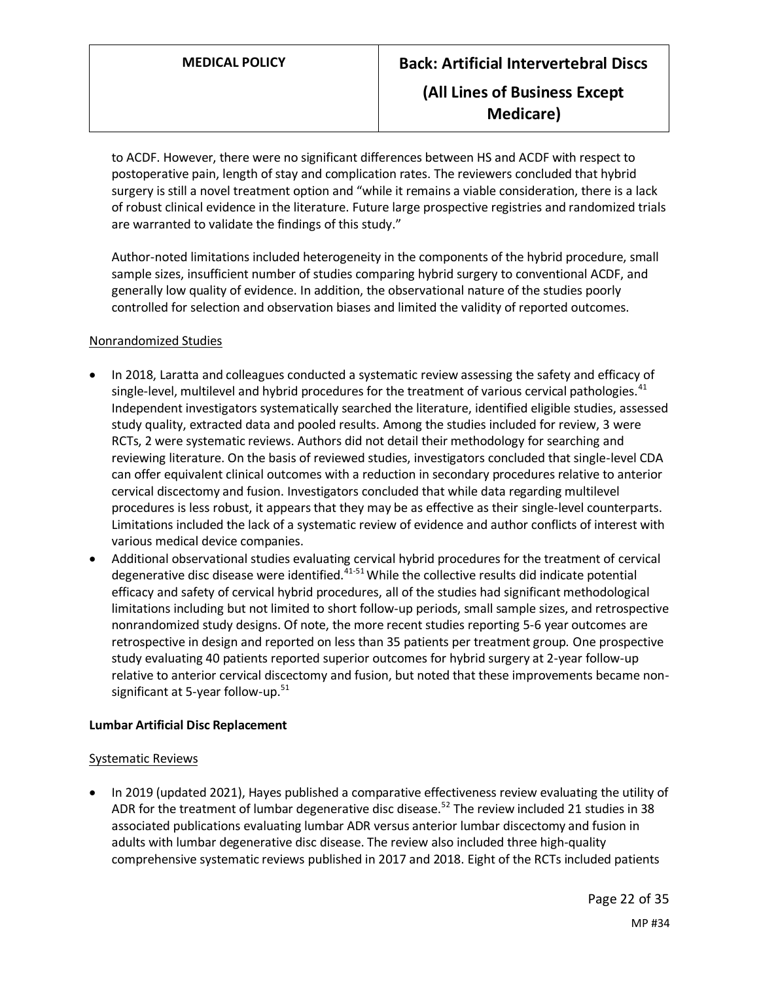to ACDF. However, there were no significant differences between HS and ACDF with respect to postoperative pain, length of stay and complication rates. The reviewers concluded that hybrid surgery is still a novel treatment option and "while it remains a viable consideration, there is a lack of robust clinical evidence in the literature. Future large prospective registries and randomized trials are warranted to validate the findings of this study."

Author-noted limitations included heterogeneity in the components of the hybrid procedure, small sample sizes, insufficient number of studies comparing hybrid surgery to conventional ACDF, and generally low quality of evidence. In addition, the observational nature of the studies poorly controlled for selection and observation biases and limited the validity of reported outcomes.

#### Nonrandomized Studies

- In 2018, Laratta and colleagues conducted a systematic review assessing the safety and efficacy of single-level, multilevel and hybrid procedures for the treatment of various cervical pathologies. $41$ Independent investigators systematically searched the literature, identified eligible studies, assessed study quality, extracted data and pooled results. Among the studies included for review, 3 were RCTs, 2 were systematic reviews. Authors did not detail their methodology for searching and reviewing literature. On the basis of reviewed studies, investigators concluded that single-level CDA can offer equivalent clinical outcomes with a reduction in secondary procedures relative to anterior cervical discectomy and fusion. Investigators concluded that while data regarding multilevel procedures is less robust, it appears that they may be as effective as their single-level counterparts. Limitations included the lack of a systematic review of evidence and author conflicts of interest with various medical device companies.
- Additional observational studies evaluating cervical hybrid procedures for the treatment of cervical degenerative disc disease were identified. $41-51$  While the collective results did indicate potential efficacy and safety of cervical hybrid procedures, all of the studies had significant methodological limitations including but not limited to short follow-up periods, small sample sizes, and retrospective nonrandomized study designs. Of note, the more recent studies reporting 5-6 year outcomes are retrospective in design and reported on less than 35 patients per treatment group. One prospective study evaluating 40 patients reported superior outcomes for hybrid surgery at 2-year follow-up relative to anterior cervical discectomy and fusion, but noted that these improvements became nonsignificant at 5-year follow-up. $51$

#### **Lumbar Artificial Disc Replacement**

#### Systematic Reviews

• In 2019 (updated 2021), Hayes published a comparative effectiveness review evaluating the utility of ADR for the treatment of lumbar degenerative disc disease.<sup>52</sup> The review included 21 studies in 38 associated publications evaluating lumbar ADR versus anterior lumbar discectomy and fusion in adults with lumbar degenerative disc disease. The review also included three high-quality comprehensive systematic reviews published in 2017 and 2018. Eight of the RCTs included patients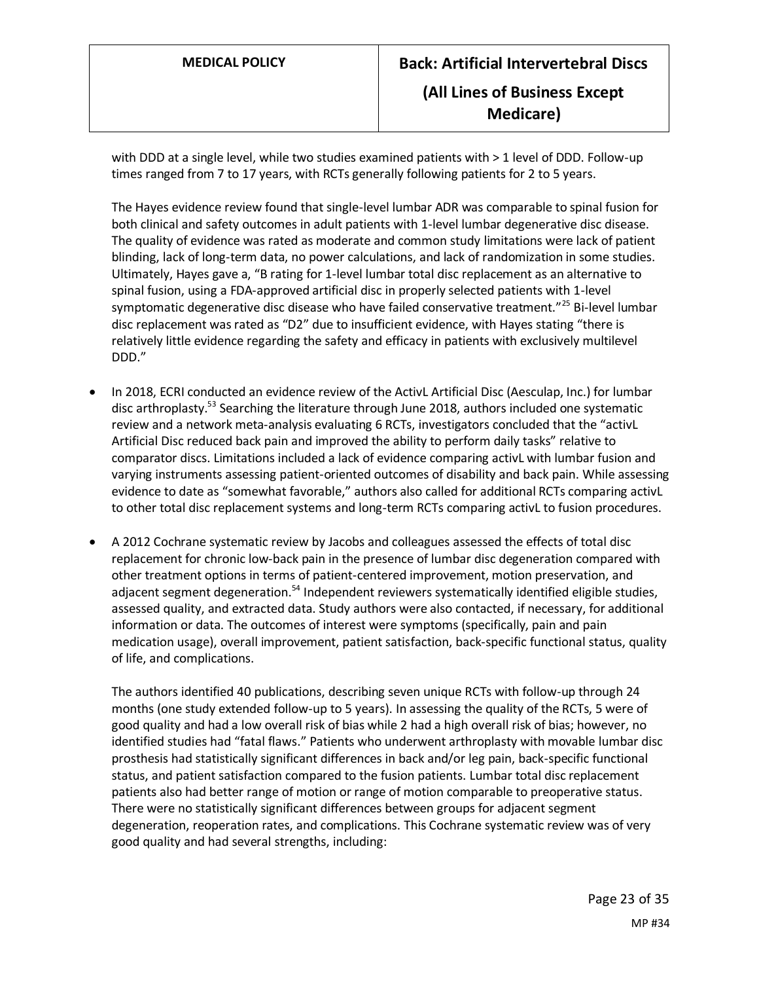with DDD at a single level, while two studies examined patients with > 1 level of DDD. Follow-up times ranged from 7 to 17 years, with RCTs generally following patients for 2 to 5 years.

The Hayes evidence review found that single-level lumbar ADR was comparable to spinal fusion for both clinical and safety outcomes in adult patients with 1-level lumbar degenerative disc disease. The quality of evidence was rated as moderate and common study limitations were lack of patient blinding, lack of long-term data, no power calculations, and lack of randomization in some studies. Ultimately, Hayes gave a, "B rating for 1-level lumbar total disc replacement as an alternative to spinal fusion, using a FDA-approved artificial disc in properly selected patients with 1-level symptomatic degenerative disc disease who have failed conservative treatment."<sup>25</sup> Bi-level lumbar disc replacement was rated as "D2" due to insufficient evidence, with Hayes stating "there is relatively little evidence regarding the safety and efficacy in patients with exclusively multilevel DDD."

- In 2018, ECRI conducted an evidence review of the ActivL Artificial Disc (Aesculap, Inc.) for lumbar disc arthroplasty.<sup>53</sup> Searching the literature through June 2018, authors included one systematic review and a network meta-analysis evaluating 6 RCTs, investigators concluded that the "activL Artificial Disc reduced back pain and improved the ability to perform daily tasks" relative to comparator discs. Limitations included a lack of evidence comparing activL with lumbar fusion and varying instruments assessing patient-oriented outcomes of disability and back pain. While assessing evidence to date as "somewhat favorable," authors also called for additional RCTs comparing activL to other total disc replacement systems and long-term RCTs comparing activL to fusion procedures.
- A 2012 Cochrane systematic review by Jacobs and colleagues assessed the effects of total disc replacement for chronic low-back pain in the presence of lumbar disc degeneration compared with other treatment options in terms of patient-centered improvement, motion preservation, and adjacent segment degeneration.<sup>54</sup> Independent reviewers systematically identified eligible studies, assessed quality, and extracted data. Study authors were also contacted, if necessary, for additional information or data. The outcomes of interest were symptoms (specifically, pain and pain medication usage), overall improvement, patient satisfaction, back-specific functional status, quality of life, and complications.

The authors identified 40 publications, describing seven unique RCTs with follow-up through 24 months (one study extended follow-up to 5 years). In assessing the quality of the RCTs, 5 were of good quality and had a low overall risk of bias while 2 had a high overall risk of bias; however, no identified studies had "fatal flaws." Patients who underwent arthroplasty with movable lumbar disc prosthesis had statistically significant differences in back and/or leg pain, back-specific functional status, and patient satisfaction compared to the fusion patients. Lumbar total disc replacement patients also had better range of motion or range of motion comparable to preoperative status. There were no statistically significant differences between groups for adjacent segment degeneration, reoperation rates, and complications. This Cochrane systematic review was of very good quality and had several strengths, including: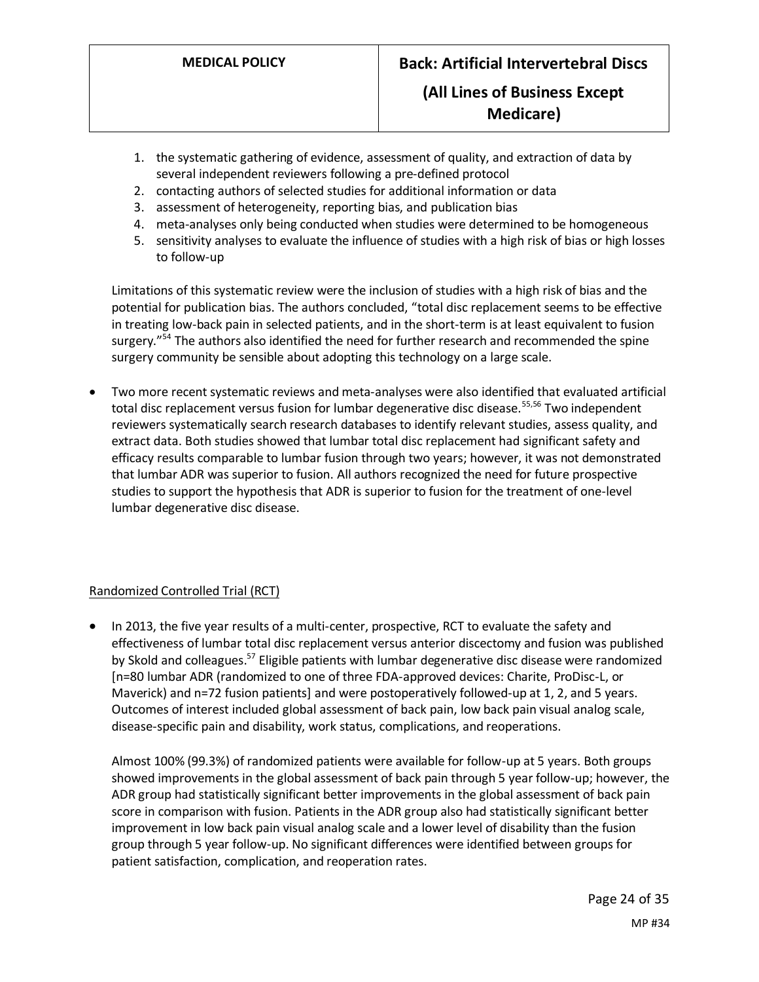- 1. the systematic gathering of evidence, assessment of quality, and extraction of data by several independent reviewers following a pre-defined protocol
- 2. contacting authors of selected studies for additional information or data
- 3. assessment of heterogeneity, reporting bias, and publication bias
- 4. meta-analyses only being conducted when studies were determined to be homogeneous
- 5. sensitivity analyses to evaluate the influence of studies with a high risk of bias or high losses to follow-up

Limitations of this systematic review were the inclusion of studies with a high risk of bias and the potential for publication bias. The authors concluded, "total disc replacement seems to be effective in treating low-back pain in selected patients, and in the short-term is at least equivalent to fusion surgery."<sup>54</sup> The authors also identified the need for further research and recommended the spine surgery community be sensible about adopting this technology on a large scale.

• Two more recent systematic reviews and meta-analyses were also identified that evaluated artificial total disc replacement versus fusion for lumbar degenerative disc disease.<sup>55,56</sup> Two independent reviewers systematically search research databases to identify relevant studies, assess quality, and extract data. Both studies showed that lumbar total disc replacement had significant safety and efficacy results comparable to lumbar fusion through two years; however, it was not demonstrated that lumbar ADR was superior to fusion. All authors recognized the need for future prospective studies to support the hypothesis that ADR is superior to fusion for the treatment of one-level lumbar degenerative disc disease.

#### Randomized Controlled Trial (RCT)

• In 2013, the five year results of a multi-center, prospective, RCT to evaluate the safety and effectiveness of lumbar total disc replacement versus anterior discectomy and fusion was published by Skold and colleagues.<sup>57</sup> Eligible patients with lumbar degenerative disc disease were randomized [n=80 lumbar ADR (randomized to one of three FDA-approved devices: Charite, ProDisc-L, or Maverick) and n=72 fusion patients] and were postoperatively followed-up at 1, 2, and 5 years. Outcomes of interest included global assessment of back pain, low back pain visual analog scale, disease-specific pain and disability, work status, complications, and reoperations.

Almost 100% (99.3%) of randomized patients were available for follow-up at 5 years. Both groups showed improvements in the global assessment of back pain through 5 year follow-up; however, the ADR group had statistically significant better improvements in the global assessment of back pain score in comparison with fusion. Patients in the ADR group also had statistically significant better improvement in low back pain visual analog scale and a lower level of disability than the fusion group through 5 year follow-up. No significant differences were identified between groups for patient satisfaction, complication, and reoperation rates.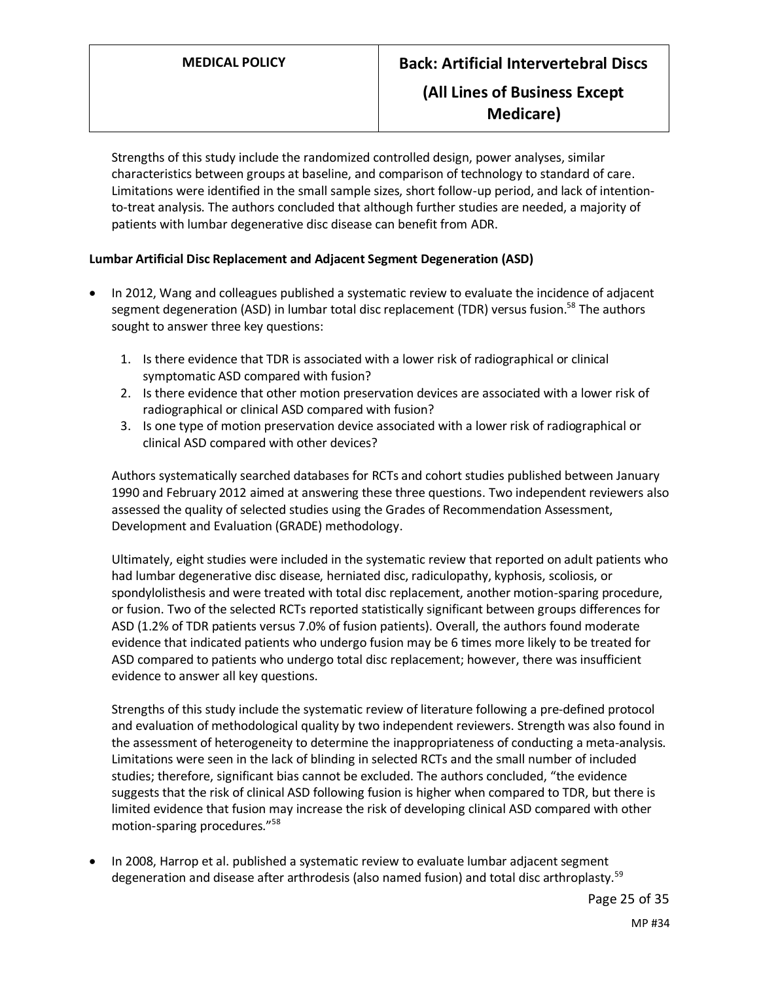# **Medicare)**

Strengths of this study include the randomized controlled design, power analyses, similar characteristics between groups at baseline, and comparison of technology to standard of care. Limitations were identified in the small sample sizes, short follow-up period, and lack of intentionto-treat analysis. The authors concluded that although further studies are needed, a majority of patients with lumbar degenerative disc disease can benefit from ADR.

### **Lumbar Artificial Disc Replacement and Adjacent Segment Degeneration (ASD)**

- In 2012, Wang and colleagues published a systematic review to evaluate the incidence of adjacent segment degeneration (ASD) in lumbar total disc replacement (TDR) versus fusion.<sup>58</sup> The authors sought to answer three key questions:
	- 1. Is there evidence that TDR is associated with a lower risk of radiographical or clinical symptomatic ASD compared with fusion?
	- 2. Is there evidence that other motion preservation devices are associated with a lower risk of radiographical or clinical ASD compared with fusion?
	- 3. Is one type of motion preservation device associated with a lower risk of radiographical or clinical ASD compared with other devices?

Authors systematically searched databases for RCTs and cohort studies published between January 1990 and February 2012 aimed at answering these three questions. Two independent reviewers also assessed the quality of selected studies using the Grades of Recommendation Assessment, Development and Evaluation (GRADE) methodology.

Ultimately, eight studies were included in the systematic review that reported on adult patients who had lumbar degenerative disc disease, herniated disc, radiculopathy, kyphosis, scoliosis, or spondylolisthesis and were treated with total disc replacement, another motion-sparing procedure, or fusion. Two of the selected RCTs reported statistically significant between groups differences for ASD (1.2% of TDR patients versus 7.0% of fusion patients). Overall, the authors found moderate evidence that indicated patients who undergo fusion may be 6 times more likely to be treated for ASD compared to patients who undergo total disc replacement; however, there was insufficient evidence to answer all key questions.

Strengths of this study include the systematic review of literature following a pre-defined protocol and evaluation of methodological quality by two independent reviewers. Strength was also found in the assessment of heterogeneity to determine the inappropriateness of conducting a meta-analysis. Limitations were seen in the lack of blinding in selected RCTs and the small number of included studies; therefore, significant bias cannot be excluded. The authors concluded, "the evidence suggests that the risk of clinical ASD following fusion is higher when compared to TDR, but there is limited evidence that fusion may increase the risk of developing clinical ASD compared with other motion-sparing procedures."<sup>58</sup>

• In 2008, Harrop et al. published a systematic review to evaluate lumbar adjacent segment degeneration and disease after arthrodesis (also named fusion) and total disc arthroplasty.<sup>59</sup>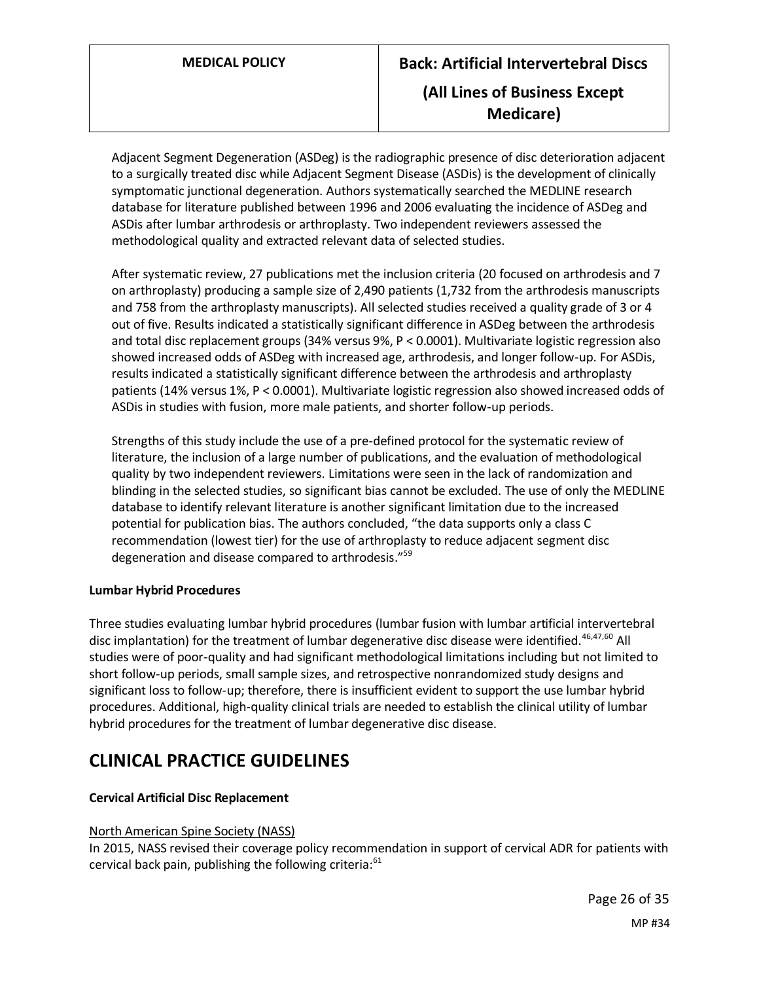Adjacent Segment Degeneration (ASDeg) is the radiographic presence of disc deterioration adjacent to a surgically treated disc while Adjacent Segment Disease (ASDis) is the development of clinically symptomatic junctional degeneration. Authors systematically searched the MEDLINE research database for literature published between 1996 and 2006 evaluating the incidence of ASDeg and ASDis after lumbar arthrodesis or arthroplasty. Two independent reviewers assessed the methodological quality and extracted relevant data of selected studies.

After systematic review, 27 publications met the inclusion criteria (20 focused on arthrodesis and 7 on arthroplasty) producing a sample size of 2,490 patients (1,732 from the arthrodesis manuscripts and 758 from the arthroplasty manuscripts). All selected studies received a quality grade of 3 or 4 out of five. Results indicated a statistically significant difference in ASDeg between the arthrodesis and total disc replacement groups (34% versus 9%, P < 0.0001). Multivariate logistic regression also showed increased odds of ASDeg with increased age, arthrodesis, and longer follow-up. For ASDis, results indicated a statistically significant difference between the arthrodesis and arthroplasty patients (14% versus 1%, P < 0.0001). Multivariate logistic regression also showed increased odds of ASDis in studies with fusion, more male patients, and shorter follow-up periods.

Strengths of this study include the use of a pre-defined protocol for the systematic review of literature, the inclusion of a large number of publications, and the evaluation of methodological quality by two independent reviewers. Limitations were seen in the lack of randomization and blinding in the selected studies, so significant bias cannot be excluded. The use of only the MEDLINE database to identify relevant literature is another significant limitation due to the increased potential for publication bias. The authors concluded, "the data supports only a class C recommendation (lowest tier) for the use of arthroplasty to reduce adjacent segment disc degeneration and disease compared to arthrodesis."<sup>59</sup>

#### **Lumbar Hybrid Procedures**

Three studies evaluating lumbar hybrid procedures (lumbar fusion with lumbar artificial intervertebral disc implantation) for the treatment of lumbar degenerative disc disease were identified.<sup>46,47,60</sup> All studies were of poor-quality and had significant methodological limitations including but not limited to short follow-up periods, small sample sizes, and retrospective nonrandomized study designs and significant loss to follow-up; therefore, there is insufficient evident to support the use lumbar hybrid procedures. Additional, high-quality clinical trials are needed to establish the clinical utility of lumbar hybrid procedures for the treatment of lumbar degenerative disc disease.

# **CLINICAL PRACTICE GUIDELINES**

### **Cervical Artificial Disc Replacement**

#### North American Spine Society (NASS)

In 2015, NASS revised their coverage policy recommendation in support of cervical ADR for patients with cervical back pain, publishing the following criteria: $61$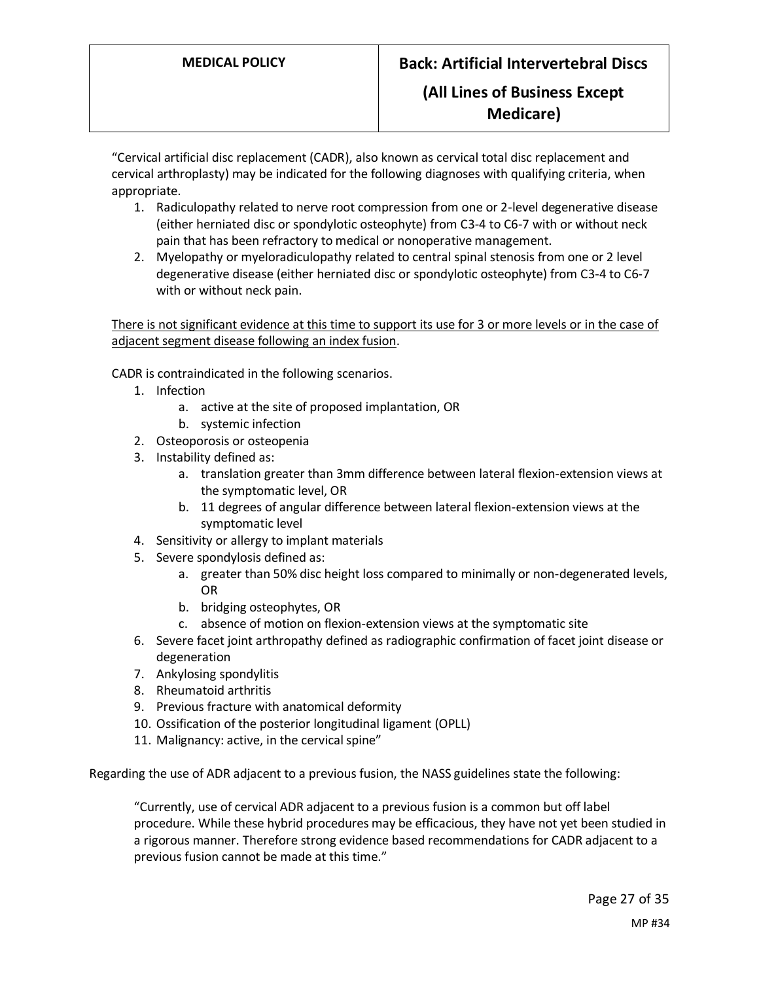"Cervical artificial disc replacement (CADR), also known as cervical total disc replacement and cervical arthroplasty) may be indicated for the following diagnoses with qualifying criteria, when appropriate.

- 1. Radiculopathy related to nerve root compression from one or 2-level degenerative disease (either herniated disc or spondylotic osteophyte) from C3-4 to C6-7 with or without neck pain that has been refractory to medical or nonoperative management.
- 2. Myelopathy or myeloradiculopathy related to central spinal stenosis from one or 2 level degenerative disease (either herniated disc or spondylotic osteophyte) from C3-4 to C6-7 with or without neck pain.

There is not significant evidence at this time to support its use for 3 or more levels or in the case of adjacent segment disease following an index fusion.

CADR is contraindicated in the following scenarios.

- 1. Infection
	- a. active at the site of proposed implantation, OR
	- b. systemic infection
- 2. Osteoporosis or osteopenia
- 3. Instability defined as:
	- a. translation greater than 3mm difference between lateral flexion-extension views at the symptomatic level, OR
	- b. 11 degrees of angular difference between lateral flexion-extension views at the symptomatic level
- 4. Sensitivity or allergy to implant materials
- 5. Severe spondylosis defined as:
	- a. greater than 50% disc height loss compared to minimally or non-degenerated levels, OR
	- b. bridging osteophytes, OR
	- c. absence of motion on flexion-extension views at the symptomatic site
- 6. Severe facet joint arthropathy defined as radiographic confirmation of facet joint disease or degeneration
- 7. Ankylosing spondylitis
- 8. Rheumatoid arthritis
- 9. Previous fracture with anatomical deformity
- 10. Ossification of the posterior longitudinal ligament (OPLL)
- 11. Malignancy: active, in the cervical spine"

Regarding the use of ADR adjacent to a previous fusion, the NASS guidelines state the following:

"Currently, use of cervical ADR adjacent to a previous fusion is a common but off label procedure. While these hybrid procedures may be efficacious, they have not yet been studied in a rigorous manner. Therefore strong evidence based recommendations for CADR adjacent to a previous fusion cannot be made at this time."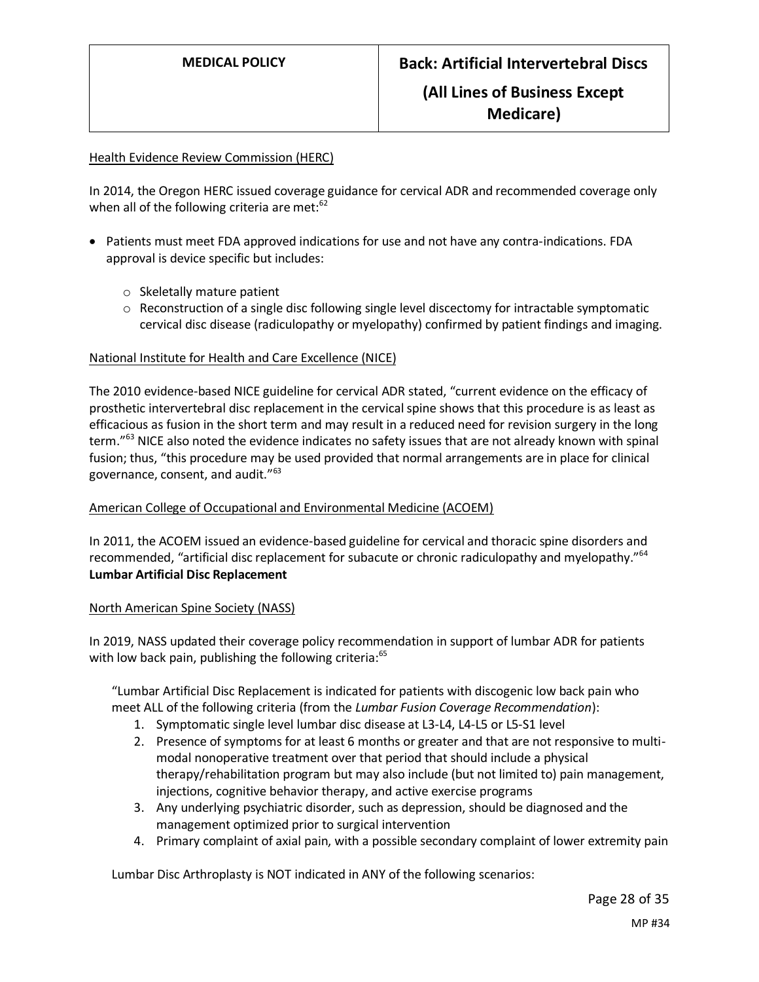#### Health Evidence Review Commission (HERC)

In 2014, the Oregon HERC issued coverage guidance for cervical ADR and recommended coverage only when all of the following criteria are met:<sup>62</sup>

- Patients must meet FDA approved indications for use and not have any contra-indications. FDA approval is device specific but includes:
	- o Skeletally mature patient
	- $\circ$  Reconstruction of a single disc following single level discectomy for intractable symptomatic cervical disc disease (radiculopathy or myelopathy) confirmed by patient findings and imaging.

#### National Institute for Health and Care Excellence (NICE)

The 2010 evidence-based NICE guideline for cervical ADR stated, "current evidence on the efficacy of prosthetic intervertebral disc replacement in the cervical spine shows that this procedure is as least as efficacious as fusion in the short term and may result in a reduced need for revision surgery in the long term."<sup>63</sup> NICE also noted the evidence indicates no safety issues that are not already known with spinal fusion; thus, "this procedure may be used provided that normal arrangements are in place for clinical governance, consent, and audit."<sup>63</sup>

#### American College of Occupational and Environmental Medicine (ACOEM)

In 2011, the ACOEM issued an evidence-based guideline for cervical and thoracic spine disorders and recommended, "artificial disc replacement for subacute or chronic radiculopathy and myelopathy."<sup>64</sup> **Lumbar Artificial Disc Replacement**

#### North American Spine Society (NASS)

In 2019, NASS updated their coverage policy recommendation in support of lumbar ADR for patients with low back pain, publishing the following criteria:<sup>65</sup>

"Lumbar Artificial Disc Replacement is indicated for patients with discogenic low back pain who meet ALL of the following criteria (from the *Lumbar Fusion Coverage Recommendation*):

- 1. Symptomatic single level lumbar disc disease at L3-L4, L4-L5 or L5-S1 level
- 2. Presence of symptoms for at least 6 months or greater and that are not responsive to multimodal nonoperative treatment over that period that should include a physical therapy/rehabilitation program but may also include (but not limited to) pain management, injections, cognitive behavior therapy, and active exercise programs
- 3. Any underlying psychiatric disorder, such as depression, should be diagnosed and the management optimized prior to surgical intervention
- 4. Primary complaint of axial pain, with a possible secondary complaint of lower extremity pain

Lumbar Disc Arthroplasty is NOT indicated in ANY of the following scenarios: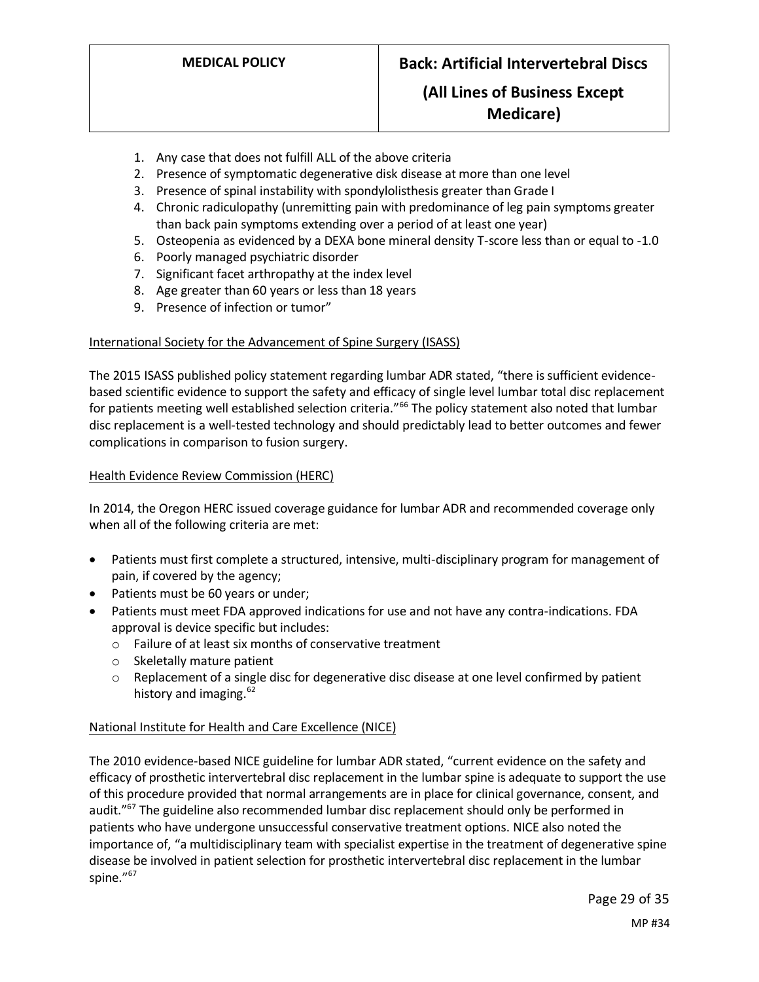## **Medicare)**

- 1. Any case that does not fulfill ALL of the above criteria
- 2. Presence of symptomatic degenerative disk disease at more than one level
- 3. Presence of spinal instability with spondylolisthesis greater than Grade I
- 4. Chronic radiculopathy (unremitting pain with predominance of leg pain symptoms greater than back pain symptoms extending over a period of at least one year)
- 5. Osteopenia as evidenced by a DEXA bone mineral density T-score less than or equal to -1.0
- 6. Poorly managed psychiatric disorder
- 7. Significant facet arthropathy at the index level
- 8. Age greater than 60 years or less than 18 years
- 9. Presence of infection or tumor"

#### International Society for the Advancement of Spine Surgery (ISASS)

The 2015 ISASS published policy statement regarding lumbar ADR stated, "there is sufficient evidencebased scientific evidence to support the safety and efficacy of single level lumbar total disc replacement for patients meeting well established selection criteria."<sup>66</sup> The policy statement also noted that lumbar disc replacement is a well-tested technology and should predictably lead to better outcomes and fewer complications in comparison to fusion surgery.

#### Health Evidence Review Commission (HERC)

In 2014, the Oregon HERC issued coverage guidance for lumbar ADR and recommended coverage only when all of the following criteria are met:

- Patients must first complete a structured, intensive, multi-disciplinary program for management of pain, if covered by the agency;
- Patients must be 60 years or under;
- Patients must meet FDA approved indications for use and not have any contra-indications. FDA approval is device specific but includes:
	- o Failure of at least six months of conservative treatment
	- o Skeletally mature patient
	- $\circ$  Replacement of a single disc for degenerative disc disease at one level confirmed by patient history and imaging.<sup>62</sup>

#### National Institute for Health and Care Excellence (NICE)

The 2010 evidence-based NICE guideline for lumbar ADR stated, "current evidence on the safety and efficacy of prosthetic intervertebral disc replacement in the lumbar spine is adequate to support the use of this procedure provided that normal arrangements are in place for clinical governance, consent, and audit."<sup>67</sup> The guideline also recommended lumbar disc replacement should only be performed in patients who have undergone unsuccessful conservative treatment options. NICE also noted the importance of, "a multidisciplinary team with specialist expertise in the treatment of degenerative spine disease be involved in patient selection for prosthetic intervertebral disc replacement in the lumbar spine."<sup>67</sup>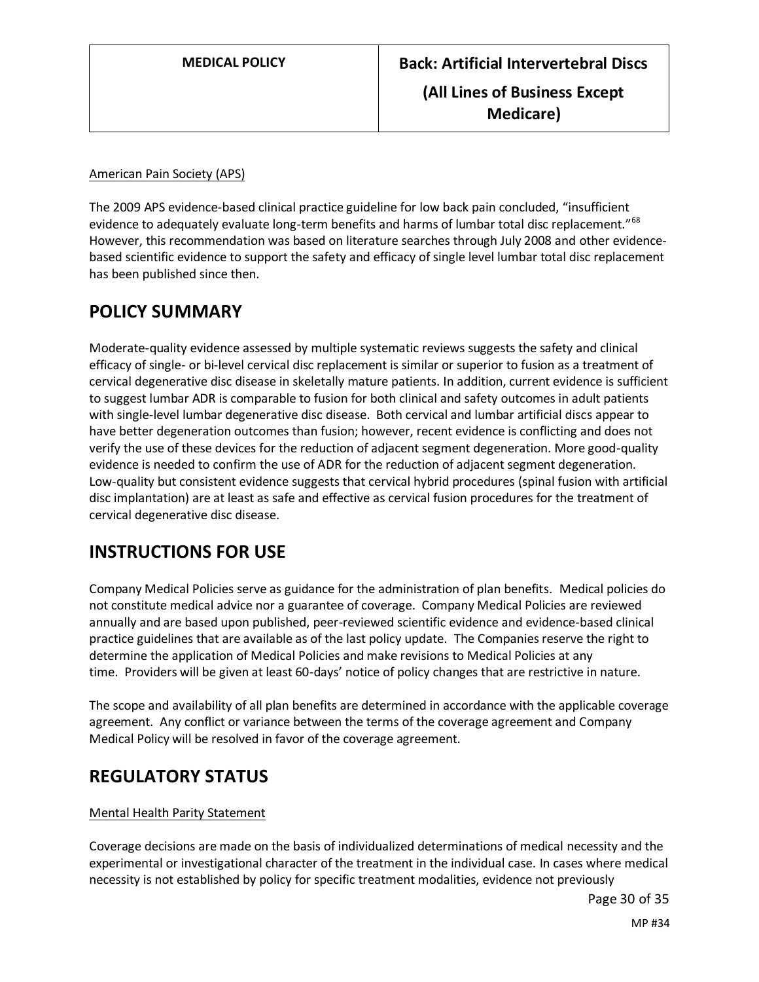#### American Pain Society (APS)

The 2009 APS evidence-based clinical practice guideline for low back pain concluded, "insufficient evidence to adequately evaluate long-term benefits and harms of lumbar total disc replacement."<sup>68</sup> However, this recommendation was based on literature searches through July 2008 and other evidencebased scientific evidence to support the safety and efficacy of single level lumbar total disc replacement has been published since then.

## <span id="page-29-0"></span>**POLICY SUMMARY**

Moderate-quality evidence assessed by multiple systematic reviews suggests the safety and clinical efficacy of single- or bi-level cervical disc replacement is similar or superior to fusion as a treatment of cervical degenerative disc disease in skeletally mature patients. In addition, current evidence is sufficient to suggest lumbar ADR is comparable to fusion for both clinical and safety outcomes in adult patients with single-level lumbar degenerative disc disease. Both cervical and lumbar artificial discs appear to have better degeneration outcomes than fusion; however, recent evidence is conflicting and does not verify the use of these devices for the reduction of adjacent segment degeneration. More good-quality evidence is needed to confirm the use of ADR for the reduction of adjacent segment degeneration. Low-quality but consistent evidence suggests that cervical hybrid procedures (spinal fusion with artificial disc implantation) are at least as safe and effective as cervical fusion procedures for the treatment of cervical degenerative disc disease.

# **INSTRUCTIONS FOR USE**

Company Medical Policies serve as guidance for the administration of plan benefits. Medical policies do not constitute medical advice nor a guarantee of coverage. Company Medical Policies are reviewed annually and are based upon published, peer-reviewed scientific evidence and evidence-based clinical practice guidelines that are available as of the last policy update. The Companies reserve the right to determine the application of Medical Policies and make revisions to Medical Policies at any time. Providers will be given at least 60-days' notice of policy changes that are restrictive in nature.

The scope and availability of all plan benefits are determined in accordance with the applicable coverage agreement. Any conflict or variance between the terms of the coverage agreement and Company Medical Policy will be resolved in favor of the coverage agreement.

# **REGULATORY STATUS**

#### Mental Health Parity Statement

Coverage decisions are made on the basis of individualized determinations of medical necessity and the experimental or investigational character of the treatment in the individual case. In cases where medical necessity is not established by policy for specific treatment modalities, evidence not previously

Page 30 of 35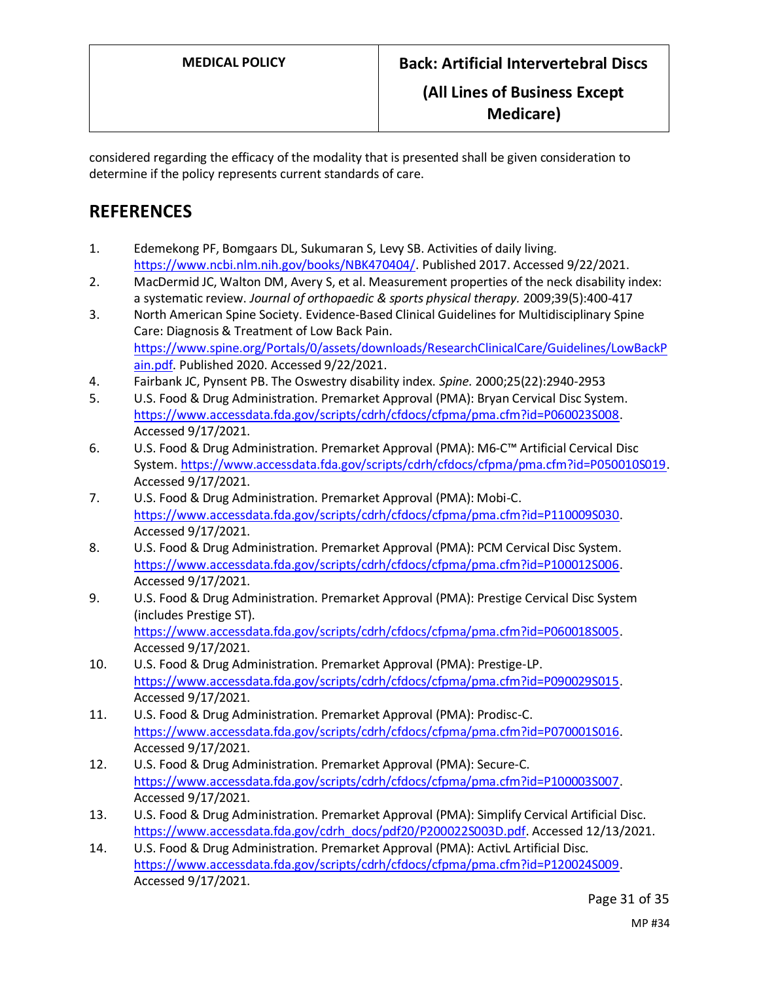considered regarding the efficacy of the modality that is presented shall be given consideration to determine if the policy represents current standards of care.

# **REFERENCES**

- 1. Edemekong PF, Bomgaars DL, Sukumaran S, Levy SB. Activities of daily living. [https://www.ncbi.nlm.nih.gov/books/NBK470404/.](https://www.ncbi.nlm.nih.gov/books/NBK470404/) Published 2017. Accessed 9/22/2021.
- 2. MacDermid JC, Walton DM, Avery S, et al. Measurement properties of the neck disability index: a systematic review. *Journal of orthopaedic & sports physical therapy.* 2009;39(5):400-417
- 3. North American Spine Society. Evidence-Based Clinical Guidelines for Multidisciplinary Spine Care: Diagnosis & Treatment of Low Back Pain. [https://www.spine.org/Portals/0/assets/downloads/ResearchClinicalCare/Guidelines/LowBackP](https://www.spine.org/Portals/0/assets/downloads/ResearchClinicalCare/Guidelines/LowBackPain.pdf) [ain.pdf.](https://www.spine.org/Portals/0/assets/downloads/ResearchClinicalCare/Guidelines/LowBackPain.pdf) Published 2020. Accessed 9/22/2021.
- 4. Fairbank JC, Pynsent PB. The Oswestry disability index. *Spine.* 2000;25(22):2940-2953
- 5. U.S. Food & Drug Administration. Premarket Approval (PMA): Bryan Cervical Disc System. [https://www.accessdata.fda.gov/scripts/cdrh/cfdocs/cfpma/pma.cfm?id=P060023S008.](https://www.accessdata.fda.gov/scripts/cdrh/cfdocs/cfpma/pma.cfm?id=P060023S008) Accessed 9/17/2021.
- 6. U.S. Food & Drug Administration. Premarket Approval (PMA): M6-C™ Artificial Cervical Disc System[. https://www.accessdata.fda.gov/scripts/cdrh/cfdocs/cfpma/pma.cfm?id=P050010S019.](https://www.accessdata.fda.gov/scripts/cdrh/cfdocs/cfpma/pma.cfm?id=P050010S019) Accessed 9/17/2021.
- 7. U.S. Food & Drug Administration. Premarket Approval (PMA): Mobi-C. [https://www.accessdata.fda.gov/scripts/cdrh/cfdocs/cfpma/pma.cfm?id=P110009S030.](https://www.accessdata.fda.gov/scripts/cdrh/cfdocs/cfpma/pma.cfm?id=P110009S030) Accessed 9/17/2021.
- 8. U.S. Food & Drug Administration. Premarket Approval (PMA): PCM Cervical Disc System. [https://www.accessdata.fda.gov/scripts/cdrh/cfdocs/cfpma/pma.cfm?id=P100012S006.](https://www.accessdata.fda.gov/scripts/cdrh/cfdocs/cfpma/pma.cfm?id=P100012S006) Accessed 9/17/2021.
- 9. U.S. Food & Drug Administration. Premarket Approval (PMA): Prestige Cervical Disc System (includes Prestige ST). [https://www.accessdata.fda.gov/scripts/cdrh/cfdocs/cfpma/pma.cfm?id=P060018S005.](https://www.accessdata.fda.gov/scripts/cdrh/cfdocs/cfpma/pma.cfm?id=P060018S005) Accessed 9/17/2021.
- 10. U.S. Food & Drug Administration. Premarket Approval (PMA): Prestige-LP. [https://www.accessdata.fda.gov/scripts/cdrh/cfdocs/cfpma/pma.cfm?id=P090029S015.](https://www.accessdata.fda.gov/scripts/cdrh/cfdocs/cfpma/pma.cfm?id=P090029S015) Accessed 9/17/2021.
- 11. U.S. Food & Drug Administration. Premarket Approval (PMA): Prodisc-C. [https://www.accessdata.fda.gov/scripts/cdrh/cfdocs/cfpma/pma.cfm?id=P070001S016.](https://www.accessdata.fda.gov/scripts/cdrh/cfdocs/cfpma/pma.cfm?id=P070001S016) Accessed 9/17/2021.
- 12. U.S. Food & Drug Administration. Premarket Approval (PMA): Secure-C. [https://www.accessdata.fda.gov/scripts/cdrh/cfdocs/cfpma/pma.cfm?id=P100003S007.](https://www.accessdata.fda.gov/scripts/cdrh/cfdocs/cfpma/pma.cfm?id=P100003S007) Accessed 9/17/2021.
- 13. U.S. Food & Drug Administration. Premarket Approval (PMA): Simplify Cervical Artificial Disc. [https://www.accessdata.fda.gov/cdrh\\_docs/pdf20/P200022S003D.pdf.](https://www.accessdata.fda.gov/cdrh_docs/pdf20/P200022S003D.pdf) Accessed 12/13/2021.
- 14. U.S. Food & Drug Administration. Premarket Approval (PMA): ActivL Artificial Disc. [https://www.accessdata.fda.gov/scripts/cdrh/cfdocs/cfpma/pma.cfm?id=P120024S009.](https://www.accessdata.fda.gov/scripts/cdrh/cfdocs/cfpma/pma.cfm?id=P120024S009) Accessed 9/17/2021.

Page 31 of 35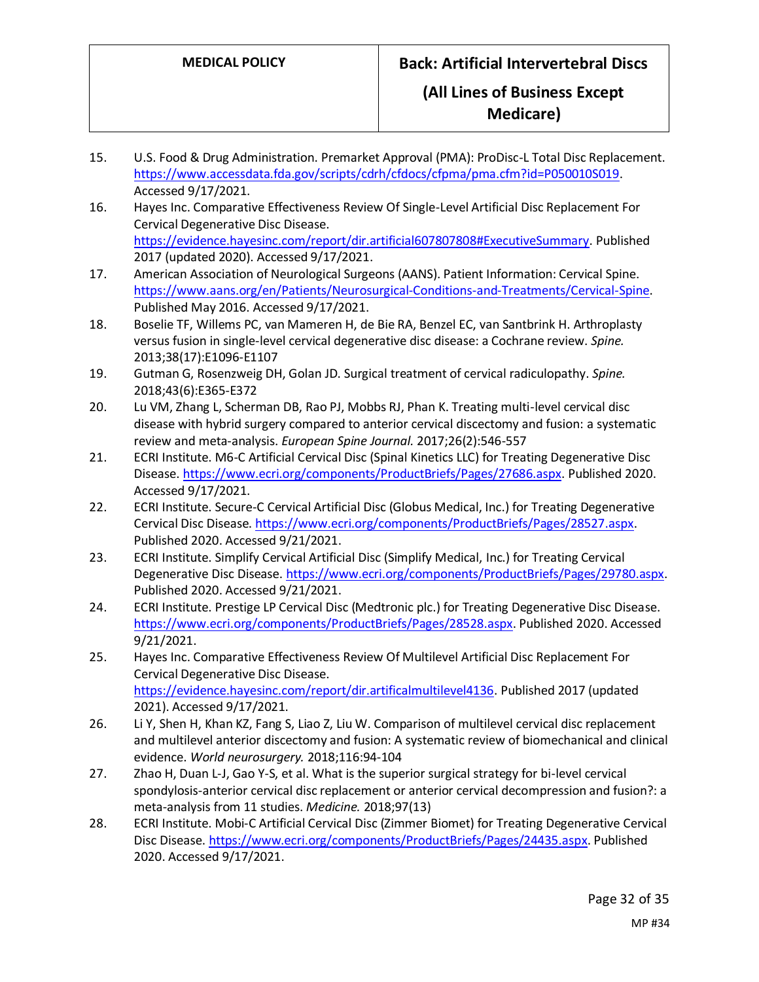- 15. U.S. Food & Drug Administration. Premarket Approval (PMA): ProDisc-L Total Disc Replacement. [https://www.accessdata.fda.gov/scripts/cdrh/cfdocs/cfpma/pma.cfm?id=P050010S019.](https://www.accessdata.fda.gov/scripts/cdrh/cfdocs/cfpma/pma.cfm?id=P050010S019) Accessed 9/17/2021.
- 16. Hayes Inc. Comparative Effectiveness Review Of Single-Level Artificial Disc Replacement For Cervical Degenerative Disc Disease. [https://evidence.hayesinc.com/report/dir.artificial607807808#ExecutiveSummary.](https://evidence.hayesinc.com/report/dir.artificial607807808#ExecutiveSummary) Published 2017 (updated 2020). Accessed 9/17/2021.
- 17. American Association of Neurological Surgeons (AANS). Patient Information: Cervical Spine. [https://www.aans.org/en/Patients/Neurosurgical-Conditions-and-Treatments/Cervical-Spine.](https://www.aans.org/en/Patients/Neurosurgical-Conditions-and-Treatments/Cervical-Spine) Published May 2016. Accessed 9/17/2021.
- 18. Boselie TF, Willems PC, van Mameren H, de Bie RA, Benzel EC, van Santbrink H. Arthroplasty versus fusion in single-level cervical degenerative disc disease: a Cochrane review. *Spine.*  2013;38(17):E1096-E1107
- 19. Gutman G, Rosenzweig DH, Golan JD. Surgical treatment of cervical radiculopathy. *Spine.*  2018;43(6):E365-E372
- 20. Lu VM, Zhang L, Scherman DB, Rao PJ, Mobbs RJ, Phan K. Treating multi-level cervical disc disease with hybrid surgery compared to anterior cervical discectomy and fusion: a systematic review and meta-analysis. *European Spine Journal.* 2017;26(2):546-557
- 21. ECRI Institute. M6-C Artificial Cervical Disc (Spinal Kinetics LLC) for Treating Degenerative Disc Disease[. https://www.ecri.org/components/ProductBriefs/Pages/27686.aspx.](https://www.ecri.org/components/ProductBriefs/Pages/27686.aspx) Published 2020. Accessed 9/17/2021.
- 22. ECRI Institute. Secure-C Cervical Artificial Disc (Globus Medical, Inc.) for Treating Degenerative Cervical Disc Disease[. https://www.ecri.org/components/ProductBriefs/Pages/28527.aspx.](https://www.ecri.org/components/ProductBriefs/Pages/28527.aspx) Published 2020. Accessed 9/21/2021.
- 23. ECRI Institute. Simplify Cervical Artificial Disc (Simplify Medical, Inc.) for Treating Cervical Degenerative Disc Disease[. https://www.ecri.org/components/ProductBriefs/Pages/29780.aspx.](https://www.ecri.org/components/ProductBriefs/Pages/29780.aspx) Published 2020. Accessed 9/21/2021.
- 24. ECRI Institute. Prestige LP Cervical Disc (Medtronic plc.) for Treating Degenerative Disc Disease. [https://www.ecri.org/components/ProductBriefs/Pages/28528.aspx.](https://www.ecri.org/components/ProductBriefs/Pages/28528.aspx) Published 2020. Accessed 9/21/2021.
- 25. Hayes Inc. Comparative Effectiveness Review Of Multilevel Artificial Disc Replacement For Cervical Degenerative Disc Disease. [https://evidence.hayesinc.com/report/dir.artificalmultilevel4136.](https://evidence.hayesinc.com/report/dir.artificalmultilevel4136) Published 2017 (updated 2021). Accessed 9/17/2021.
- 26. Li Y, Shen H, Khan KZ, Fang S, Liao Z, Liu W. Comparison of multilevel cervical disc replacement and multilevel anterior discectomy and fusion: A systematic review of biomechanical and clinical evidence. *World neurosurgery.* 2018;116:94-104
- 27. Zhao H, Duan L-J, Gao Y-S, et al. What is the superior surgical strategy for bi-level cervical spondylosis-anterior cervical disc replacement or anterior cervical decompression and fusion?: a meta-analysis from 11 studies. *Medicine.* 2018;97(13)
- 28. ECRI Institute. Mobi-C Artificial Cervical Disc (Zimmer Biomet) for Treating Degenerative Cervical Disc Disease. [https://www.ecri.org/components/ProductBriefs/Pages/24435.aspx.](https://www.ecri.org/components/ProductBriefs/Pages/24435.aspx) Published 2020. Accessed 9/17/2021.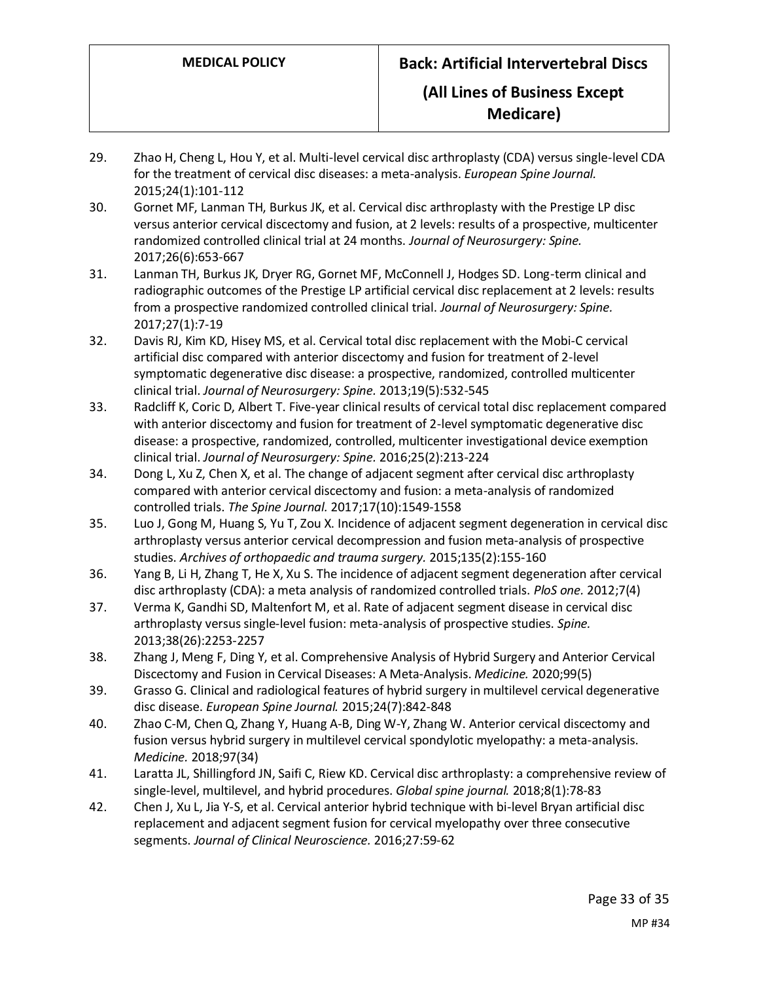**Medicare)**

- 29. Zhao H, Cheng L, Hou Y, et al. Multi-level cervical disc arthroplasty (CDA) versus single-level CDA for the treatment of cervical disc diseases: a meta-analysis. *European Spine Journal.*  2015;24(1):101-112
- 30. Gornet MF, Lanman TH, Burkus JK, et al. Cervical disc arthroplasty with the Prestige LP disc versus anterior cervical discectomy and fusion, at 2 levels: results of a prospective, multicenter randomized controlled clinical trial at 24 months. *Journal of Neurosurgery: Spine.*  2017;26(6):653-667
- 31. Lanman TH, Burkus JK, Dryer RG, Gornet MF, McConnell J, Hodges SD. Long-term clinical and radiographic outcomes of the Prestige LP artificial cervical disc replacement at 2 levels: results from a prospective randomized controlled clinical trial. *Journal of Neurosurgery: Spine.*  2017;27(1):7-19
- 32. Davis RJ, Kim KD, Hisey MS, et al. Cervical total disc replacement with the Mobi-C cervical artificial disc compared with anterior discectomy and fusion for treatment of 2-level symptomatic degenerative disc disease: a prospective, randomized, controlled multicenter clinical trial. *Journal of Neurosurgery: Spine.* 2013;19(5):532-545
- 33. Radcliff K, Coric D, Albert T. Five-year clinical results of cervical total disc replacement compared with anterior discectomy and fusion for treatment of 2-level symptomatic degenerative disc disease: a prospective, randomized, controlled, multicenter investigational device exemption clinical trial. *Journal of Neurosurgery: Spine.* 2016;25(2):213-224
- 34. Dong L, Xu Z, Chen X, et al. The change of adjacent segment after cervical disc arthroplasty compared with anterior cervical discectomy and fusion: a meta-analysis of randomized controlled trials. *The Spine Journal.* 2017;17(10):1549-1558
- 35. Luo J, Gong M, Huang S, Yu T, Zou X. Incidence of adjacent segment degeneration in cervical disc arthroplasty versus anterior cervical decompression and fusion meta-analysis of prospective studies. *Archives of orthopaedic and trauma surgery.* 2015;135(2):155-160
- 36. Yang B, Li H, Zhang T, He X, Xu S. The incidence of adjacent segment degeneration after cervical disc arthroplasty (CDA): a meta analysis of randomized controlled trials. *PloS one.* 2012;7(4)
- 37. Verma K, Gandhi SD, Maltenfort M, et al. Rate of adjacent segment disease in cervical disc arthroplasty versus single-level fusion: meta-analysis of prospective studies. *Spine.*  2013;38(26):2253-2257
- 38. Zhang J, Meng F, Ding Y, et al. Comprehensive Analysis of Hybrid Surgery and Anterior Cervical Discectomy and Fusion in Cervical Diseases: A Meta-Analysis. *Medicine.* 2020;99(5)
- 39. Grasso G. Clinical and radiological features of hybrid surgery in multilevel cervical degenerative disc disease. *European Spine Journal.* 2015;24(7):842-848
- 40. Zhao C-M, Chen Q, Zhang Y, Huang A-B, Ding W-Y, Zhang W. Anterior cervical discectomy and fusion versus hybrid surgery in multilevel cervical spondylotic myelopathy: a meta-analysis. *Medicine.* 2018;97(34)
- 41. Laratta JL, Shillingford JN, Saifi C, Riew KD. Cervical disc arthroplasty: a comprehensive review of single-level, multilevel, and hybrid procedures. *Global spine journal.* 2018;8(1):78-83
- 42. Chen J, Xu L, Jia Y-S, et al. Cervical anterior hybrid technique with bi-level Bryan artificial disc replacement and adjacent segment fusion for cervical myelopathy over three consecutive segments. *Journal of Clinical Neuroscience.* 2016;27:59-62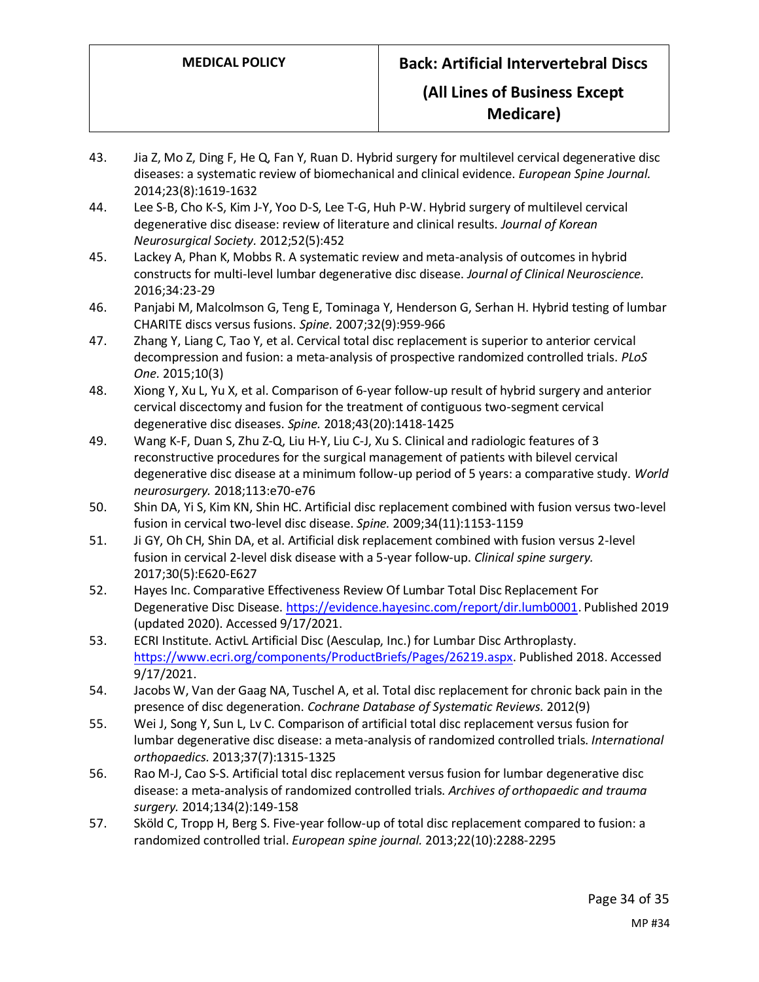- 43. Jia Z, Mo Z, Ding F, He Q, Fan Y, Ruan D. Hybrid surgery for multilevel cervical degenerative disc diseases: a systematic review of biomechanical and clinical evidence. *European Spine Journal.*  2014;23(8):1619-1632
- 44. Lee S-B, Cho K-S, Kim J-Y, Yoo D-S, Lee T-G, Huh P-W. Hybrid surgery of multilevel cervical degenerative disc disease: review of literature and clinical results. *Journal of Korean Neurosurgical Society.* 2012;52(5):452
- 45. Lackey A, Phan K, Mobbs R. A systematic review and meta-analysis of outcomes in hybrid constructs for multi-level lumbar degenerative disc disease. *Journal of Clinical Neuroscience.*  2016;34:23-29
- 46. Panjabi M, Malcolmson G, Teng E, Tominaga Y, Henderson G, Serhan H. Hybrid testing of lumbar CHARITE discs versus fusions. *Spine.* 2007;32(9):959-966
- 47. Zhang Y, Liang C, Tao Y, et al. Cervical total disc replacement is superior to anterior cervical decompression and fusion: a meta-analysis of prospective randomized controlled trials. *PLoS One.* 2015;10(3)
- 48. Xiong Y, Xu L, Yu X, et al. Comparison of 6-year follow-up result of hybrid surgery and anterior cervical discectomy and fusion for the treatment of contiguous two-segment cervical degenerative disc diseases. *Spine.* 2018;43(20):1418-1425
- 49. Wang K-F, Duan S, Zhu Z-Q, Liu H-Y, Liu C-J, Xu S. Clinical and radiologic features of 3 reconstructive procedures for the surgical management of patients with bilevel cervical degenerative disc disease at a minimum follow-up period of 5 years: a comparative study. *World neurosurgery.* 2018;113:e70-e76
- 50. Shin DA, Yi S, Kim KN, Shin HC. Artificial disc replacement combined with fusion versus two-level fusion in cervical two-level disc disease. *Spine.* 2009;34(11):1153-1159
- 51. Ji GY, Oh CH, Shin DA, et al. Artificial disk replacement combined with fusion versus 2-level fusion in cervical 2-level disk disease with a 5-year follow-up. *Clinical spine surgery.*  2017;30(5):E620-E627
- 52. Hayes Inc. Comparative Effectiveness Review Of Lumbar Total Disc Replacement For Degenerative Disc Disease[. https://evidence.hayesinc.com/report/dir.lumb0001.](https://evidence.hayesinc.com/report/dir.lumb0001) Published 2019 (updated 2020). Accessed 9/17/2021.
- 53. ECRI Institute. ActivL Artificial Disc (Aesculap, Inc.) for Lumbar Disc Arthroplasty. [https://www.ecri.org/components/ProductBriefs/Pages/26219.aspx.](https://www.ecri.org/components/ProductBriefs/Pages/26219.aspx) Published 2018. Accessed 9/17/2021.
- 54. Jacobs W, Van der Gaag NA, Tuschel A, et al. Total disc replacement for chronic back pain in the presence of disc degeneration. *Cochrane Database of Systematic Reviews.* 2012(9)
- 55. Wei J, Song Y, Sun L, Lv C. Comparison of artificial total disc replacement versus fusion for lumbar degenerative disc disease: a meta-analysis of randomized controlled trials. *International orthopaedics.* 2013;37(7):1315-1325
- 56. Rao M-J, Cao S-S. Artificial total disc replacement versus fusion for lumbar degenerative disc disease: a meta-analysis of randomized controlled trials. *Archives of orthopaedic and trauma surgery.* 2014;134(2):149-158
- 57. Sköld C, Tropp H, Berg S. Five-year follow-up of total disc replacement compared to fusion: a randomized controlled trial. *European spine journal.* 2013;22(10):2288-2295